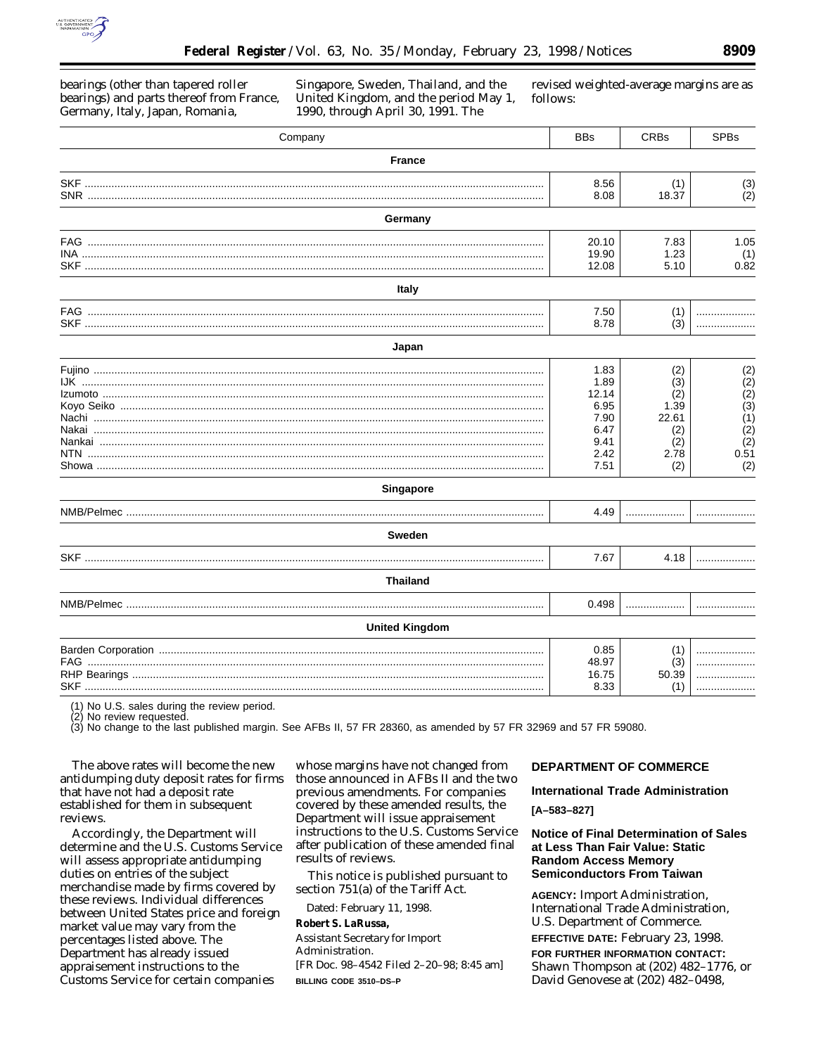

bearings (other than tapered roller bearings) and parts thereof from France, Germany, Italy, Japan, Romania,

Singapore, Sweden, Thailand, and the United Kingdom, and the period May 1, 1990, through April 30, 1991. The

revised weighted-average margins are as follows:

| Company               | <b>BBs</b>                                                                    | <b>CRBs</b>                                                     | <b>SPBs</b>                                                  |
|-----------------------|-------------------------------------------------------------------------------|-----------------------------------------------------------------|--------------------------------------------------------------|
| <b>France</b>         |                                                                               |                                                                 |                                                              |
|                       | 8.56<br>8.08                                                                  | (1)<br>18.37                                                    | (3)<br>(2)                                                   |
| Germany               |                                                                               |                                                                 |                                                              |
| INA …………………………………………  | 20.10<br>19.90<br>12.08                                                       | 7.83<br>1.23<br>5.10                                            | 1.05<br>(1)<br>0.82                                          |
| Italy                 |                                                                               |                                                                 |                                                              |
|                       | 7.50<br>8.78                                                                  | (1)<br>(3)                                                      |                                                              |
| Japan                 |                                                                               |                                                                 |                                                              |
| Singapore<br>Sweden   | 1.83<br>1.89<br>12.14<br>6.95<br>7.90<br>6.47<br>9.41<br>2.42<br>7.51<br>4.49 | (2)<br>(3)<br>(2)<br>1.39<br>22.61<br>(2)<br>(2)<br>2.78<br>(2) | (2)<br>(2)<br>(2)<br>(3)<br>(1)<br>(2)<br>(2)<br>0.51<br>(2) |
|                       | 7.67                                                                          | 4.18                                                            |                                                              |
| <b>Thailand</b>       |                                                                               |                                                                 | .                                                            |
|                       |                                                                               |                                                                 |                                                              |
|                       | 0.498                                                                         |                                                                 |                                                              |
| <b>United Kingdom</b> |                                                                               |                                                                 |                                                              |
|                       | 0.85<br>48.97<br>16.75<br>8.33                                                | (1)<br>(3)<br>50.39<br>(1)                                      |                                                              |
|                       |                                                                               |                                                                 |                                                              |

(1) No U.S. sales during the review period.

(2) No review requested.

(3) No change to the last published margin. See AFBs II, 57 FR 28360, as amended by 57 FR 32969 and 57 FR 59080.

The above rates will become the new antidumping duty deposit rates for firms that have not had a deposit rate established for them in subsequent reviews.

Accordingly, the Department will determine and the U.S. Customs Service will assess appropriate antidumping duties on entries of the subject merchandise made by firms covered by these reviews. Individual differences between United States price and foreign market value may vary from the percentages listed above. The Department has already issued appraisement instructions to the Customs Service for certain companies

whose margins have not changed from those announced in AFBs II and the two previous amendments. For companies covered by these amended results, the Department will issue appraisement instructions to the U.S. Customs Service after publication of these amended final results of reviews.

This notice is published pursuant to section 751(a) of the Tariff Act.

Dated: February 11, 1998.

**Robert S. LaRussa,**

*Assistant Secretary for Import Administration.* [FR Doc. 98–4542 Filed 2–20–98; 8:45 am] **BILLING CODE 3510–DS–P**

# **DEPARTMENT OF COMMERCE**

**International Trade Administration**

**[A–583–827]**

**Notice of Final Determination of Sales at Less Than Fair Value: Static Random Access Memory Semiconductors From Taiwan**

**AGENCY:** Import Administration, International Trade Administration, U.S. Department of Commerce.

**EFFECTIVE DATE:** February 23, 1998.

**FOR FURTHER INFORMATION CONTACT:** Shawn Thompson at (202) 482–1776, or David Genovese at (202) 482–0498,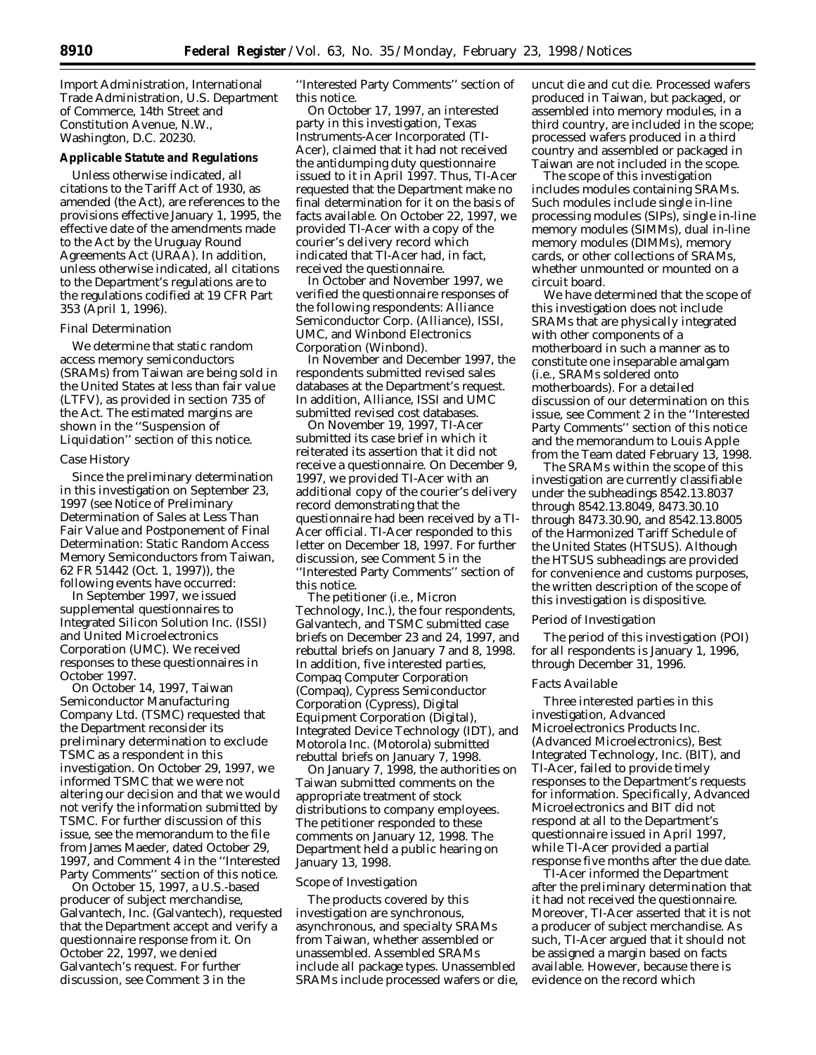Import Administration, International Trade Administration, U.S. Department of Commerce, 14th Street and Constitution Avenue, N.W., Washington, D.C. 20230.

# **Applicable Statute and Regulations**

Unless otherwise indicated, all citations to the Tariff Act of 1930, as amended (the Act), are references to the provisions effective January 1, 1995, the effective date of the amendments made to the Act by the Uruguay Round Agreements Act (URAA). In addition, unless otherwise indicated, all citations to the Department's regulations are to the regulations codified at 19 CFR Part 353 (April 1, 1996).

### *Final Determination*

We determine that static random access memory semiconductors (SRAMs) from Taiwan are being sold in the United States at less than fair value (LTFV), as provided in section 735 of the Act. The estimated margins are shown in the ''Suspension of Liquidation'' section of this notice.

#### *Case History*

Since the preliminary determination in this investigation on September 23, 1997 (*see Notice of Preliminary Determination of Sales at Less Than Fair Value and Postponement of Final Determination: Static Random Access Memory Semiconductors from Taiwan,* 62 FR 51442 (Oct. 1, 1997)), the following events have occurred:

In September 1997, we issued supplemental questionnaires to Integrated Silicon Solution Inc. (ISSI) and United Microelectronics Corporation (UMC). We received responses to these questionnaires in October 1997.

On October 14, 1997, Taiwan Semiconductor Manufacturing Company Ltd. (TSMC) requested that the Department reconsider its preliminary determination to exclude TSMC as a respondent in this investigation. On October 29, 1997, we informed TSMC that we were not altering our decision and that we would not verify the information submitted by TSMC. For further discussion of this issue, see the memorandum to the file from James Maeder, dated October 29, 1997, and *Comment 4* in the ''Interested Party Comments'' section of this notice.

On October 15, 1997, a U.S.-based producer of subject merchandise, Galvantech, Inc. (Galvantech), requested that the Department accept and verify a questionnaire response from it. On October 22, 1997, we denied Galvantech's request. For further discussion, see *Comment 3* in the

''Interested Party Comments'' section of this notice.

On October 17, 1997, an interested party in this investigation, Texas Instruments-Acer Incorporated (TI-Acer), claimed that it had not received the antidumping duty questionnaire issued to it in April 1997. Thus, TI-Acer requested that the Department make no final determination for it on the basis of facts available. On October 22, 1997, we provided TI-Acer with a copy of the courier's delivery record which indicated that TI-Acer had, in fact, received the questionnaire.

In October and November 1997, we verified the questionnaire responses of the following respondents: Alliance Semiconductor Corp. (Alliance), ISSI, UMC, and Winbond Electronics Corporation (Winbond).

In November and December 1997, the respondents submitted revised sales databases at the Department's request. In addition, Alliance, ISSI and UMC submitted revised cost databases.

On November 19, 1997, TI-Acer submitted its case brief in which it reiterated its assertion that it did not receive a questionnaire. On December 9, 1997, we provided TI-Acer with an additional copy of the courier's delivery record demonstrating that the questionnaire had been received by a TI-Acer official. TI-Acer responded to this letter on December 18, 1997. For further discussion, see *Comment 5* in the ''Interested Party Comments'' section of this notice.

The petitioner (*i.e.,* Micron Technology, Inc.), the four respondents, Galvantech, and TSMC submitted case briefs on December 23 and 24, 1997, and rebuttal briefs on January 7 and 8, 1998. In addition, five interested parties, Compaq Computer Corporation (Compaq), Cypress Semiconductor Corporation (Cypress), Digital Equipment Corporation (Digital), Integrated Device Technology (IDT), and Motorola Inc. (Motorola) submitted rebuttal briefs on January 7, 1998.

On January 7, 1998, the authorities on Taiwan submitted comments on the appropriate treatment of stock distributions to company employees. The petitioner responded to these comments on January 12, 1998. The Department held a public hearing on January 13, 1998.

#### *Scope of Investigation*

The products covered by this investigation are synchronous, asynchronous, and specialty SRAMs from Taiwan, whether assembled or unassembled. Assembled SRAMs include all package types. Unassembled SRAMs include processed wafers or die, uncut die and cut die. Processed wafers produced in Taiwan, but packaged, or assembled into memory modules, in a third country, are included in the scope; processed wafers produced in a third country and assembled or packaged in Taiwan are not included in the scope.

The scope of this investigation includes modules containing SRAMs. Such modules include single in-line processing modules (SIPs), single in-line memory modules (SIMMs), dual in-line memory modules (DIMMs), memory cards, or other collections of SRAMs, whether unmounted or mounted on a circuit board.

We have determined that the scope of this investigation does not include SRAMs that are physically integrated with other components of a motherboard in such a manner as to constitute one inseparable amalgam (*i.e.,* SRAMs soldered onto motherboards). For a detailed discussion of our determination on this issue, see *Comment 2* in the ''Interested Party Comments'' section of this notice and the memorandum to Louis Apple from the Team dated February 13, 1998.

The SRAMs within the scope of this investigation are currently classifiable under the subheadings 8542.13.8037 through 8542.13.8049, 8473.30.10 through 8473.30.90, and 8542.13.8005 of the Harmonized Tariff Schedule of the United States (HTSUS). Although the HTSUS subheadings are provided for convenience and customs purposes, the written description of the scope of this investigation is dispositive.

#### *Period of Investigation*

The period of this investigation (POI) for all respondents is January 1, 1996, through December 31, 1996.

#### *Facts Available*

Three interested parties in this investigation, Advanced Microelectronics Products Inc. (Advanced Microelectronics), Best Integrated Technology, Inc. (BIT), and TI-Acer, failed to provide timely responses to the Department's requests for information. Specifically, Advanced Microelectronics and BIT did not respond at all to the Department's questionnaire issued in April 1997, while TI-Acer provided a partial response five months after the due date.

TI-Acer informed the Department after the preliminary determination that it had not received the questionnaire. Moreover, TI-Acer asserted that it is not a producer of subject merchandise. As such, TI-Acer argued that it should not be assigned a margin based on facts available. However, because there is evidence on the record which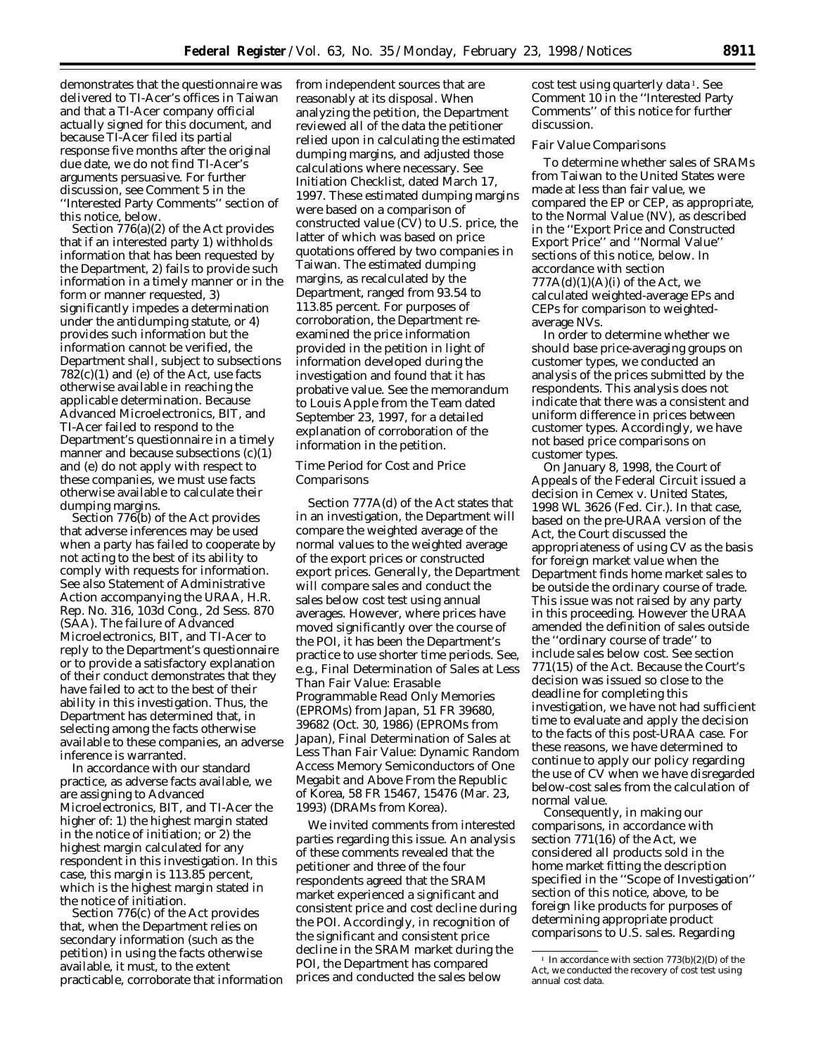demonstrates that the questionnaire was delivered to TI-Acer's offices in Taiwan and that a TI-Acer company official actually signed for this document, and because TI-Acer filed its partial response five months after the original due date, we do not find TI-Acer's arguments persuasive. For further discussion, see *Comment 5* in the ''Interested Party Comments'' section of this notice, below.

Section 776(a)(2) of the Act provides that if an interested party 1) withholds information that has been requested by the Department, 2) fails to provide such information in a timely manner or in the form or manner requested, 3) significantly impedes a determination under the antidumping statute, or 4) provides such information but the information cannot be verified, the Department shall, subject to subsections  $782(c)(1)$  and (e) of the Act, use facts otherwise available in reaching the applicable determination. Because Advanced Microelectronics, BIT, and TI-Acer failed to respond to the Department's questionnaire in a timely manner and because subsections (c)(1) and (e) do not apply with respect to these companies, we must use facts otherwise available to calculate their dumping margins.

Section 776(b) of the Act provides that adverse inferences may be used when a party has failed to cooperate by not acting to the best of its ability to comply with requests for information. *See also* Statement of Administrative Action accompanying the URAA, H.R. Rep. No. 316, 103d Cong., 2d Sess. 870 (SAA). The failure of Advanced Microelectronics, BIT, and TI-Acer to reply to the Department's questionnaire or to provide a satisfactory explanation of their conduct demonstrates that they have failed to act to the best of their ability in this investigation. Thus, the Department has determined that, in selecting among the facts otherwise available to these companies, an adverse inference is warranted.

In accordance with our standard practice, as adverse facts available, we are assigning to Advanced Microelectronics, BIT, and TI-Acer the higher of: 1) the highest margin stated in the notice of initiation; or 2) the highest margin calculated for any respondent in this investigation. In this case, this margin is 113.85 percent, which is the highest margin stated in the notice of initiation.

Section 776(c) of the Act provides that, when the Department relies on secondary information (such as the petition) in using the facts otherwise available, it must, to the extent practicable, corroborate that information from independent sources that are reasonably at its disposal. When analyzing the petition, the Department reviewed all of the data the petitioner relied upon in calculating the estimated dumping margins, and adjusted those calculations where necessary. *See* Initiation Checklist, dated March 17, 1997. These estimated dumping margins were based on a comparison of constructed value (CV) to U.S. price, the latter of which was based on price quotations offered by two companies in Taiwan. The estimated dumping margins, as recalculated by the Department, ranged from 93.54 to 113.85 percent. For purposes of corroboration, the Department reexamined the price information provided in the petition in light of information developed during the investigation and found that it has probative value. *See* the memorandum to Louis Apple from the Team dated September 23, 1997, for a detailed explanation of corroboration of the information in the petition.

# *Time Period for Cost and Price Comparisons*

Section 777A(d) of the Act states that in an investigation, the Department will compare the weighted average of the normal values to the weighted average of the export prices or constructed export prices. Generally, the Department will compare sales and conduct the sales below cost test using annual averages. However, where prices have moved significantly over the course of the POI, it has been the Department's practice to use shorter time periods. *See, e.g., Final Determination of Sales at Less Than Fair Value: Erasable Programmable Read Only Memories (EPROMs) from Japan,* 51 FR 39680, 39682 (Oct. 30, 1986) (*EPROMs from Japan), Final Determination of Sales at Less Than Fair Value: Dynamic Random Access Memory Semiconductors of One Megabit and Above From the Republic of* Korea, 58 FR 15467, 15476 (Mar. 23, 1993) (*DRAMs from Korea*).

We invited comments from interested parties regarding this issue. An analysis of these comments revealed that the petitioner and three of the four respondents agreed that the SRAM market experienced a significant and consistent price and cost decline during the POI. Accordingly, in recognition of the significant and consistent price decline in the SRAM market during the POI, the Department has compared prices and conducted the sales below

cost test using quarterly data 1. *See Comment 10* in the ''Interested Party Comments'' of this notice for further discussion.

## *Fair Value Comparisons*

To determine whether sales of SRAMs from Taiwan to the United States were made at less than fair value, we compared the EP or CEP, as appropriate, to the Normal Value (NV), as described in the ''Export Price and Constructed Export Price'' and ''Normal Value'' sections of this notice, below. In accordance with section  $777A(d)(1)(A)(i)$  of the Act, we calculated weighted-average EPs and CEPs for comparison to weightedaverage NVs.

In order to determine whether we should base price-averaging groups on customer types, we conducted an analysis of the prices submitted by the respondents. This analysis does not indicate that there was a consistent and uniform difference in prices between customer types. Accordingly, we have not based price comparisons on customer types.

On January 8, 1998, the Court of Appeals of the Federal Circuit issued a decision in *Cemex* v. *United States,* 1998 WL 3626 (Fed. Cir.). In that case, based on the pre-URAA version of the Act, the Court discussed the appropriateness of using CV as the basis for foreign market value when the Department finds home market sales to be outside the ordinary course of trade. This issue was not raised by any party in this proceeding. However the URAA amended the definition of sales outside the ''ordinary course of trade'' to include sales below cost. *See* section 771(15) of the Act. Because the Court's decision was issued so close to the deadline for completing this investigation, we have not had sufficient time to evaluate and apply the decision to the facts of this post-URAA case. For these reasons, we have determined to continue to apply our policy regarding the use of CV when we have disregarded below-cost sales from the calculation of normal value.

Consequently, in making our comparisons, in accordance with section 771(16) of the Act, we considered all products sold in the home market fitting the description specified in the ''Scope of Investigation'' section of this notice, above, to be foreign like products for purposes of determining appropriate product comparisons to U.S. sales. Regarding

<sup>&</sup>lt;sup>1</sup> In accordance with section  $773(b)(2)(D)$  of the Act, we conducted the recovery of cost test using annual cost data.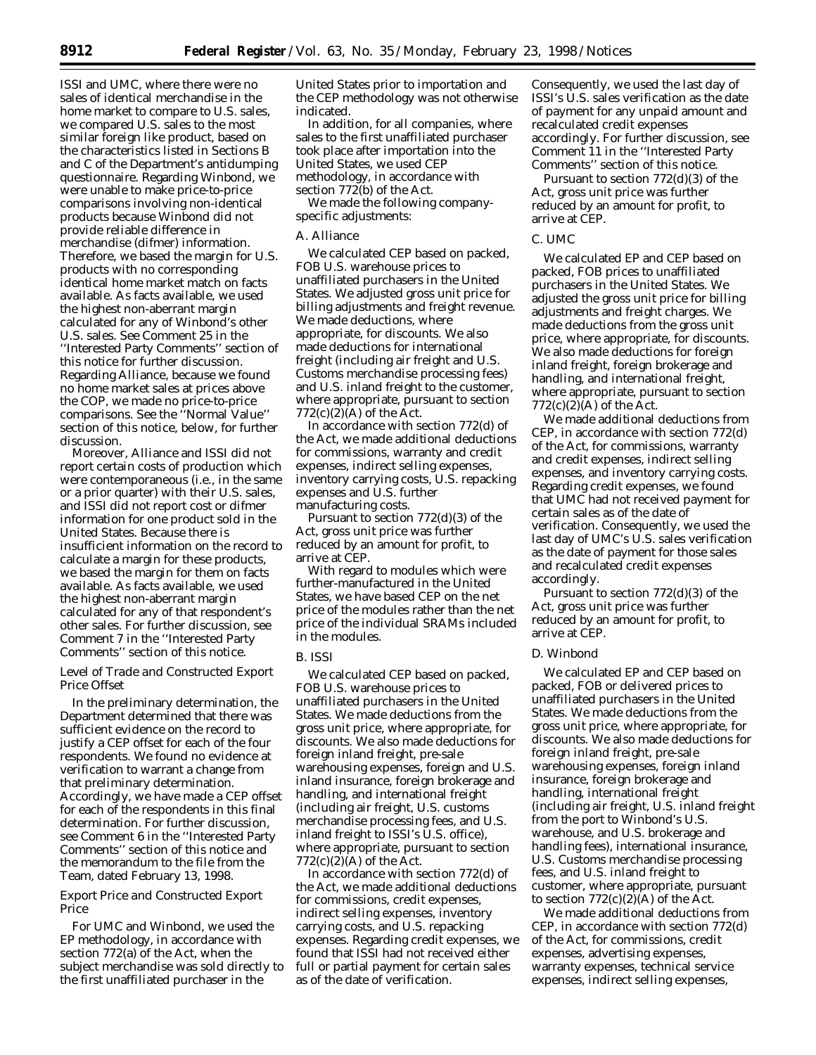ISSI and UMC, where there were no sales of identical merchandise in the home market to compare to U.S. sales, we compared U.S. sales to the most similar foreign like product, based on the characteristics listed in Sections B and C of the Department's antidumping questionnaire. Regarding Winbond, we were unable to make price-to-price comparisons involving non-identical products because Winbond did not provide reliable difference in merchandise (difmer) information. Therefore, we based the margin for U.S. products with no corresponding identical home market match on facts available. As facts available, we used the highest non-aberrant margin calculated for any of Winbond's other U.S. sales. *See Comment 25* in the ''Interested Party Comments'' section of this notice for further discussion. Regarding Alliance, because we found no home market sales at prices above the COP, we made no price-to-price comparisons. *See* the ''Normal Value'' section of this notice, below, for further discussion.

Moreover, Alliance and ISSI did not report certain costs of production which were contemporaneous (*i.e.,* in the same or a prior quarter) with their U.S. sales, and ISSI did not report cost or difmer information for one product sold in the United States. Because there is insufficient information on the record to calculate a margin for these products, we based the margin for them on facts available. As facts available, we used the highest non-aberrant margin calculated for any of that respondent's other sales. For further discussion, see *Comment 7* in the ''Interested Party Comments'' section of this notice.

## *Level of Trade and Constructed Export Price Offset*

In the preliminary determination, the Department determined that there was sufficient evidence on the record to justify a CEP offset for each of the four respondents. We found no evidence at verification to warrant a change from that preliminary determination. Accordingly, we have made a CEP offset for each of the respondents in this final determination. For further discussion, see *Comment 6* in the ''Interested Party Comments'' section of this notice and the memorandum to the file from the Team, dated February 13, 1998.

## *Export Price and Constructed Export Price*

For UMC and Winbond, we used the EP methodology, in accordance with section 772(a) of the Act, when the subject merchandise was sold directly to the first unaffiliated purchaser in the

United States prior to importation and the CEP methodology was not otherwise indicated.

In addition, for all companies, where sales to the first unaffiliated purchaser took place after importation into the United States, we used CEP methodology, in accordance with section 772(b) of the Act.

We made the following companyspecific adjustments:

### A. Alliance

We calculated CEP based on packed, FOB U.S. warehouse prices to unaffiliated purchasers in the United States. We adjusted gross unit price for billing adjustments and freight revenue. We made deductions, where appropriate, for discounts. We also made deductions for international freight (including air freight and U.S. Customs merchandise processing fees) and U.S. inland freight to the customer, where appropriate, pursuant to section  $772(c)(2)$ (A) of the Act.

In accordance with section 772(d) of the Act, we made additional deductions for commissions, warranty and credit expenses, indirect selling expenses, inventory carrying costs, U.S. repacking expenses and U.S. further manufacturing costs.

Pursuant to section 772(d)(3) of the Act, gross unit price was further reduced by an amount for profit, to arrive at CEP.

With regard to modules which were further-manufactured in the United States, we have based CEP on the net price of the modules rather than the net price of the individual SRAMs included in the modules.

# B. ISSI

We calculated CEP based on packed, FOB U.S. warehouse prices to unaffiliated purchasers in the United States. We made deductions from the gross unit price, where appropriate, for discounts. We also made deductions for foreign inland freight, pre-sale warehousing expenses, foreign and U.S. inland insurance, foreign brokerage and handling, and international freight (including air freight, U.S. customs merchandise processing fees, and U.S. inland freight to ISSI's U.S. office), where appropriate, pursuant to section  $772(c)(2)(A)$  of the Act.

In accordance with section 772(d) of the Act, we made additional deductions for commissions, credit expenses, indirect selling expenses, inventory carrying costs, and U.S. repacking expenses. Regarding credit expenses, we found that ISSI had not received either full or partial payment for certain sales as of the date of verification.

Consequently, we used the last day of ISSI's U.S. sales verification as the date of payment for any unpaid amount and recalculated credit expenses accordingly. For further discussion, see *Comment 11* in the ''Interested Party Comments'' section of this notice.

Pursuant to section 772(d)(3) of the Act, gross unit price was further reduced by an amount for profit, to arrive at CEP.

# C. UMC

We calculated EP and CEP based on packed, FOB prices to unaffiliated purchasers in the United States. We adjusted the gross unit price for billing adjustments and freight charges. We made deductions from the gross unit price, where appropriate, for discounts. We also made deductions for foreign inland freight, foreign brokerage and handling, and international freight, where appropriate, pursuant to section 772(c)(2)(A) of the Act.

We made additional deductions from CEP, in accordance with section 772(d) of the Act, for commissions, warranty and credit expenses, indirect selling expenses, and inventory carrying costs. Regarding credit expenses, we found that UMC had not received payment for certain sales as of the date of verification. Consequently, we used the last day of UMC's U.S. sales verification as the date of payment for those sales and recalculated credit expenses accordingly.

Pursuant to section 772(d)(3) of the Act, gross unit price was further reduced by an amount for profit, to arrive at CEP.

#### D. Winbond

We calculated EP and CEP based on packed, FOB or delivered prices to unaffiliated purchasers in the United States. We made deductions from the gross unit price, where appropriate, for discounts. We also made deductions for foreign inland freight, pre-sale warehousing expenses, foreign inland insurance, foreign brokerage and handling, international freight (including air freight, U.S. inland freight from the port to Winbond's U.S. warehouse, and U.S. brokerage and handling fees), international insurance, U.S. Customs merchandise processing fees, and U.S. inland freight to customer, where appropriate, pursuant to section  $772(c)(2)(A)$  of the Act.

We made additional deductions from CEP, in accordance with section 772(d) of the Act, for commissions, credit expenses, advertising expenses, warranty expenses, technical service expenses, indirect selling expenses,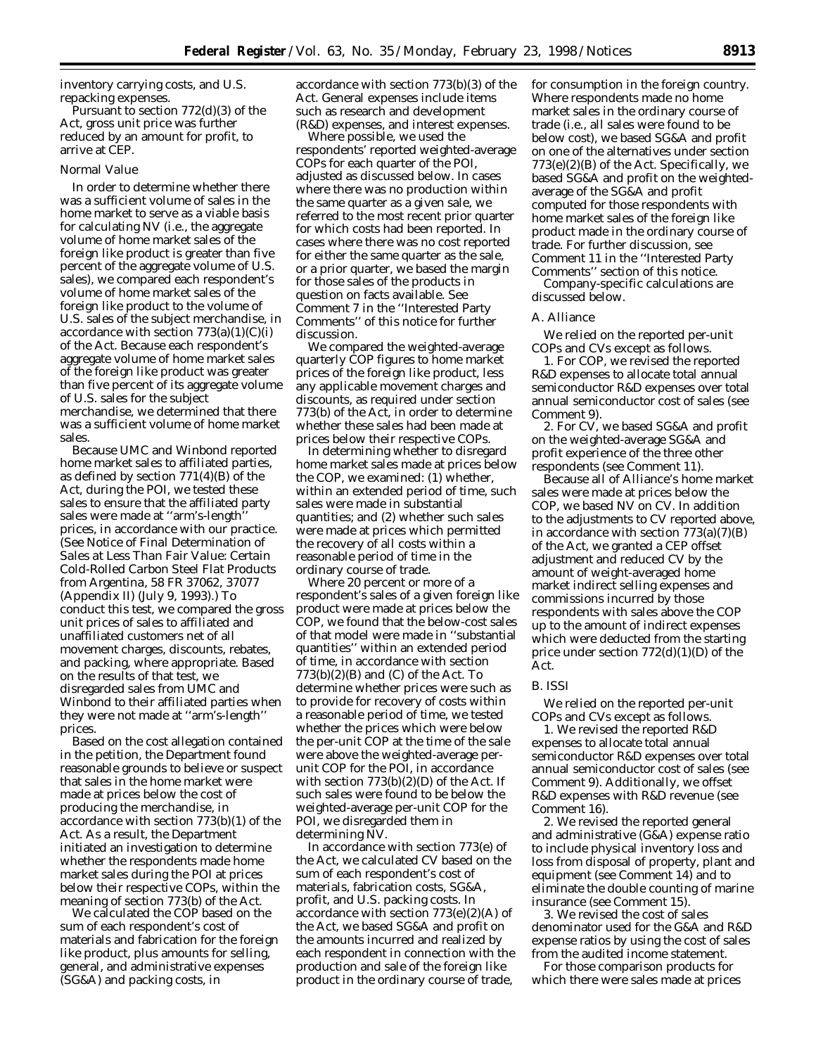inventory carrying costs, and U.S. repacking expenses.

Pursuant to section 772(d)(3) of the Act, gross unit price was further reduced by an amount for profit, to arrive at CEP.

## *Normal Value*

In order to determine whether there was a sufficient volume of sales in the home market to serve as a viable basis for calculating NV (*i.e.,* the aggregate volume of home market sales of the foreign like product is greater than five percent of the aggregate volume of U.S. sales), we compared each respondent's volume of home market sales of the foreign like product to the volume of U.S. sales of the subject merchandise, in accordance with section  $773(a)(1)(C(i))$ of the Act. Because each respondent's aggregate volume of home market sales of the foreign like product was greater than five percent of its aggregate volume of U.S. sales for the subject merchandise, we determined that there was a sufficient volume of home market sales.

Because UMC and Winbond reported home market sales to affiliated parties, as defined by section 771(4)(B) of the Act, during the POI, we tested these sales to ensure that the affiliated party sales were made at ''arm's-length'' prices, in accordance with our practice. (*See Notice of Final Determination of Sales at Less Than Fair Value: Certain Cold-Rolled Carbon Steel Flat Products from Argentina*, 58 FR 37062, 37077 (Appendix II) (July 9, 1993).) To conduct this test, we compared the gross unit prices of sales to affiliated and unaffiliated customers net of all movement charges, discounts, rebates, and packing, where appropriate. Based on the results of that test, we disregarded sales from UMC and Winbond to their affiliated parties when they were not made at ''arm's-length'' prices.

Based on the cost allegation contained in the petition, the Department found reasonable grounds to believe or suspect that sales in the home market were made at prices below the cost of producing the merchandise, in accordance with section 773(b)(1) of the Act. As a result, the Department initiated an investigation to determine whether the respondents made home market sales during the POI at prices below their respective COPs, within the meaning of section 773(b) of the Act.

We calculated the COP based on the sum of each respondent's cost of materials and fabrication for the foreign like product, plus amounts for selling, general, and administrative expenses (SG&A) and packing costs, in

accordance with section 773(b)(3) of the Act. General expenses include items such as research and development (R&D) expenses, and interest expenses.

Where possible, we used the respondents' reported weighted-average COPs for each quarter of the POI, adjusted as discussed below. In cases where there was no production within the same quarter as a given sale, we referred to the most recent prior quarter for which costs had been reported. In cases where there was no cost reported for either the same quarter as the sale, or a prior quarter, we based the margin for those sales of the products in question on facts available. *See Comment 7* in the ''Interested Party Comments'' of this notice for further discussion.

We compared the weighted-average quarterly COP figures to home market prices of the foreign like product, less any applicable movement charges and discounts, as required under section 773(b) of the Act, in order to determine whether these sales had been made at prices below their respective COPs.

In determining whether to disregard home market sales made at prices below the COP, we examined: (1) whether, within an extended period of time, such sales were made in substantial quantities; and (2) whether such sales were made at prices which permitted the recovery of all costs within a reasonable period of time in the ordinary course of trade.

Where 20 percent or more of a respondent's sales of a given foreign like product were made at prices below the COP, we found that the below-cost sales of that model were made in ''substantial quantities'' within an extended period of time, in accordance with section  $773(b)(2)(B)$  and  $(C)$  of the Act. To determine whether prices were such as to provide for recovery of costs within a reasonable period of time, we tested whether the prices which were below the per-unit COP at the time of the sale were above the weighted-average perunit COP for the POI, in accordance with section 773(b)(2)(D) of the Act. If such sales were found to be below the weighted-average per-unit COP for the POI, we disregarded them in determining NV.

In accordance with section 773(e) of the Act, we calculated CV based on the sum of each respondent's cost of materials, fabrication costs, SG&A, profit, and U.S. packing costs. In accordance with section  $773(e)(2)(A)$  of the Act, we based SG&A and profit on the amounts incurred and realized by each respondent in connection with the production and sale of the foreign like product in the ordinary course of trade,

for consumption in the foreign country. Where respondents made no home market sales in the ordinary course of trade (*i.e.,* all sales were found to be below cost), we based SG&A and profit on one of the alternatives under section 773(e)(2)(B) of the Act. Specifically, we based SG&A and profit on the weightedaverage of the SG&A and profit computed for those respondents with home market sales of the foreign like product made in the ordinary course of trade. For further discussion, *see Comment 11* in the ''Interested Party Comments'' section of this notice. Company-specific calculations are discussed below.

#### A. Alliance

We relied on the reported per-unit COPs and CVs except as follows.

1. For COP, we revised the reported R&D expenses to allocate total annual semiconductor R&D expenses over total annual semiconductor cost of sales (*see Comment 9*).

2. For CV, we based SG&A and profit on the weighted-average SG&A and profit experience of the three other respondents (*see Comment 11*).

Because all of Alliance's home market sales were made at prices below the COP, we based NV on CV. In addition to the adjustments to CV reported above, in accordance with section  $773(a)(7)(B)$ of the Act, we granted a CEP offset adjustment and reduced CV by the amount of weight-averaged home market indirect selling expenses and commissions incurred by those respondents with sales above the COP up to the amount of indirect expenses which were deducted from the starting price under section 772(d)(1)(D) of the Act.

## B. ISSI

We relied on the reported per-unit COPs and CVs except as follows.

1. We revised the reported R&D expenses to allocate total annual semiconductor R&D expenses over total annual semiconductor cost of sales (*see Comment 9*). Additionally, we offset R&D expenses with R&D revenue (*see Comment 16*).

2. We revised the reported general and administrative (G&A) expense ratio to include physical inventory loss and loss from disposal of property, plant and equipment (*see Comment 14*) and to eliminate the double counting of marine insurance (*see Comment 15*).

3. We revised the cost of sales denominator used for the G&A and R&D expense ratios by using the cost of sales from the audited income statement.

For those comparison products for which there were sales made at prices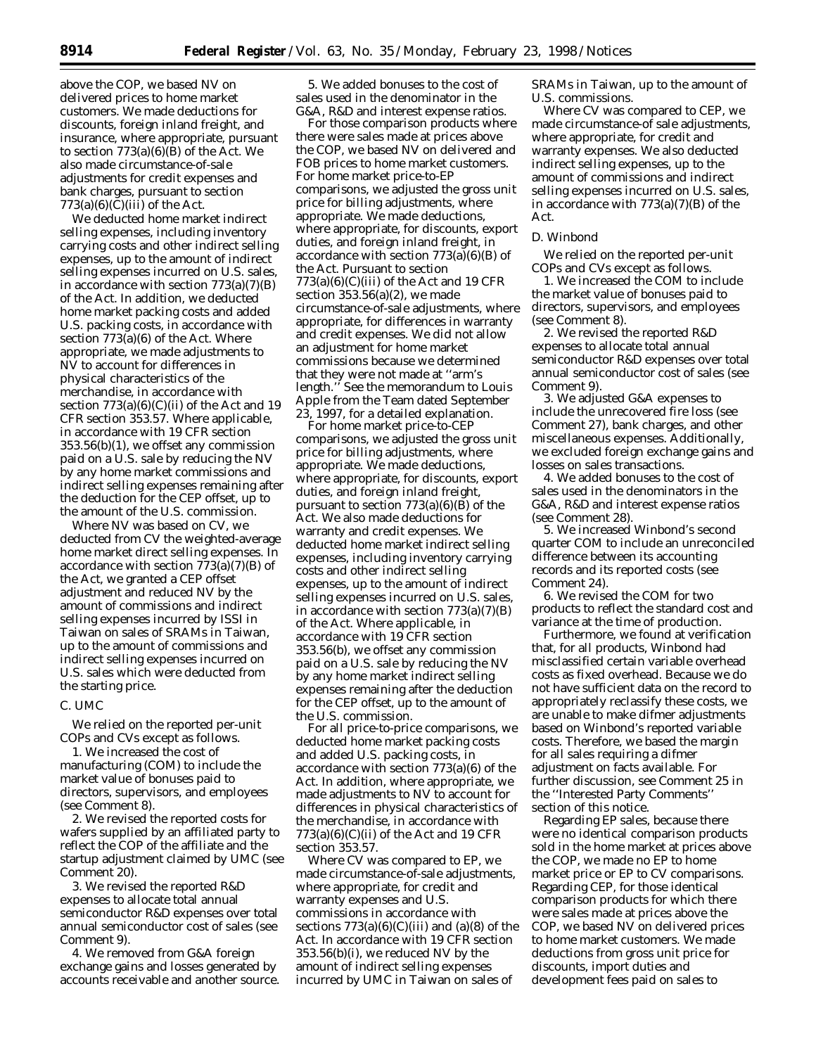above the COP, we based NV on delivered prices to home market customers. We made deductions for discounts, foreign inland freight, and insurance, where appropriate, pursuant to section  $773(a)(6)(B)$  of the Act. We also made circumstance-of-sale adjustments for credit expenses and bank charges, pursuant to section  $773(a)(6)(\ddot{C})(iii)$  of the Act.

We deducted home market indirect selling expenses, including inventory carrying costs and other indirect selling expenses, up to the amount of indirect selling expenses incurred on U.S. sales, in accordance with section 773(a)(7)(B) of the Act. In addition, we deducted home market packing costs and added U.S. packing costs, in accordance with section 773(a)(6) of the Act. Where appropriate, we made adjustments to NV to account for differences in physical characteristics of the merchandise, in accordance with section  $773(a)(6)(C)(ii)$  of the Act and 19 CFR section 353.57. Where applicable, in accordance with 19 CFR section 353.56(b)(1), we offset any commission paid on a U.S. sale by reducing the NV by any home market commissions and indirect selling expenses remaining after the deduction for the CEP offset, up to the amount of the U.S. commission.

Where NV was based on CV, we deducted from CV the weighted-average home market direct selling expenses. In accordance with section 773(a)(7)(B) of the Act, we granted a CEP offset adjustment and reduced NV by the amount of commissions and indirect selling expenses incurred by ISSI in Taiwan on sales of SRAMs in Taiwan, up to the amount of commissions and indirect selling expenses incurred on U.S. sales which were deducted from the starting price.

### C. UMC

We relied on the reported per-unit COPs and CVs except as follows.

1. We increased the cost of manufacturing (COM) to include the market value of bonuses paid to directors, supervisors, and employees (*see Comment 8*).

2. We revised the reported costs for wafers supplied by an affiliated party to reflect the COP of the affiliate and the startup adjustment claimed by UMC (*see Comment 20*).

3. We revised the reported R&D expenses to allocate total annual semiconductor R&D expenses over total annual semiconductor cost of sales (*see Comment 9*).

4. We removed from G&A foreign exchange gains and losses generated by accounts receivable and another source.

5. We added bonuses to the cost of sales used in the denominator in the G&A, R&D and interest expense ratios.

For those comparison products where there were sales made at prices above the COP, we based NV on delivered and FOB prices to home market customers. For home market price-to-EP comparisons, we adjusted the gross unit price for billing adjustments, where appropriate. We made deductions, where appropriate, for discounts, export duties, and foreign inland freight, in accordance with section  $773(a)(6)(B)$  of the Act. Pursuant to section  $773(a)(6)(C)(iii)$  of the Act and 19 CFR section 353.56(a)(2), we made circumstance-of-sale adjustments, where appropriate, for differences in warranty and credit expenses. We did not allow an adjustment for home market commissions because we determined that they were not made at ''arm's length.'' See the memorandum to Louis Apple from the Team dated September 23, 1997, for a detailed explanation.

For home market price-to-CEP comparisons, we adjusted the gross unit price for billing adjustments, where appropriate. We made deductions, where appropriate, for discounts, export duties, and foreign inland freight, pursuant to section  $773(a)(6)(B)$  of the Act. We also made deductions for warranty and credit expenses. We deducted home market indirect selling expenses, including inventory carrying costs and other indirect selling expenses, up to the amount of indirect selling expenses incurred on U.S. sales, in accordance with section 773(a)(7)(B) of the Act. Where applicable, in accordance with 19 CFR section 353.56(b), we offset any commission paid on a U.S. sale by reducing the NV by any home market indirect selling expenses remaining after the deduction for the CEP offset, up to the amount of the U.S. commission.

For all price-to-price comparisons, we deducted home market packing costs and added U.S. packing costs, in accordance with section 773(a)(6) of the Act. In addition, where appropriate, we made adjustments to NV to account for differences in physical characteristics of the merchandise, in accordance with  $773(a)(6)(C)(ii)$  of the Act and 19 CFR section 353.57.

Where CV was compared to EP, we made circumstance-of-sale adjustments, where appropriate, for credit and warranty expenses and U.S. commissions in accordance with sections  $773(a)(6)(C)(iii)$  and  $(a)(8)$  of the Act. In accordance with 19 CFR section 353.56(b)(i), we reduced NV by the amount of indirect selling expenses incurred by UMC in Taiwan on sales of

SRAMs in Taiwan, up to the amount of U.S. commissions.

Where CV was compared to CEP, we made circumstance-of sale adjustments, where appropriate, for credit and warranty expenses. We also deducted indirect selling expenses, up to the amount of commissions and indirect selling expenses incurred on U.S. sales, in accordance with 773(a)(7)(B) of the Act.

#### D. Winbond

We relied on the reported per-unit COPs and CVs except as follows.

1. We increased the COM to include the market value of bonuses paid to directors, supervisors, and employees (*see Comment 8*).

2. We revised the reported R&D expenses to allocate total annual semiconductor R&D expenses over total annual semiconductor cost of sales (*see Comment 9*).

3. We adjusted G&A expenses to include the unrecovered fire loss (*see Comment 27*), bank charges, and other miscellaneous expenses. Additionally, we excluded foreign exchange gains and losses on sales transactions.

4. We added bonuses to the cost of sales used in the denominators in the G&A, R&D and interest expense ratios (*see Comment 28*).

5. We increased Winbond's second quarter COM to include an unreconciled difference between its accounting records and its reported costs (*see Comment 24*).

6. We revised the COM for two products to reflect the standard cost and variance at the time of production.

Furthermore, we found at verification that, for all products, Winbond had misclassified certain variable overhead costs as fixed overhead. Because we do not have sufficient data on the record to appropriately reclassify these costs, we are unable to make difmer adjustments based on Winbond's reported variable costs. Therefore, we based the margin for all sales requiring a difmer adjustment on facts available. For further discussion, *see Comment 25* in the ''Interested Party Comments'' section of this notice.

Regarding EP sales, because there were no identical comparison products sold in the home market at prices above the COP, we made no EP to home market price or EP to CV comparisons. Regarding CEP, for those identical comparison products for which there were sales made at prices above the COP, we based NV on delivered prices to home market customers. We made deductions from gross unit price for discounts, import duties and development fees paid on sales to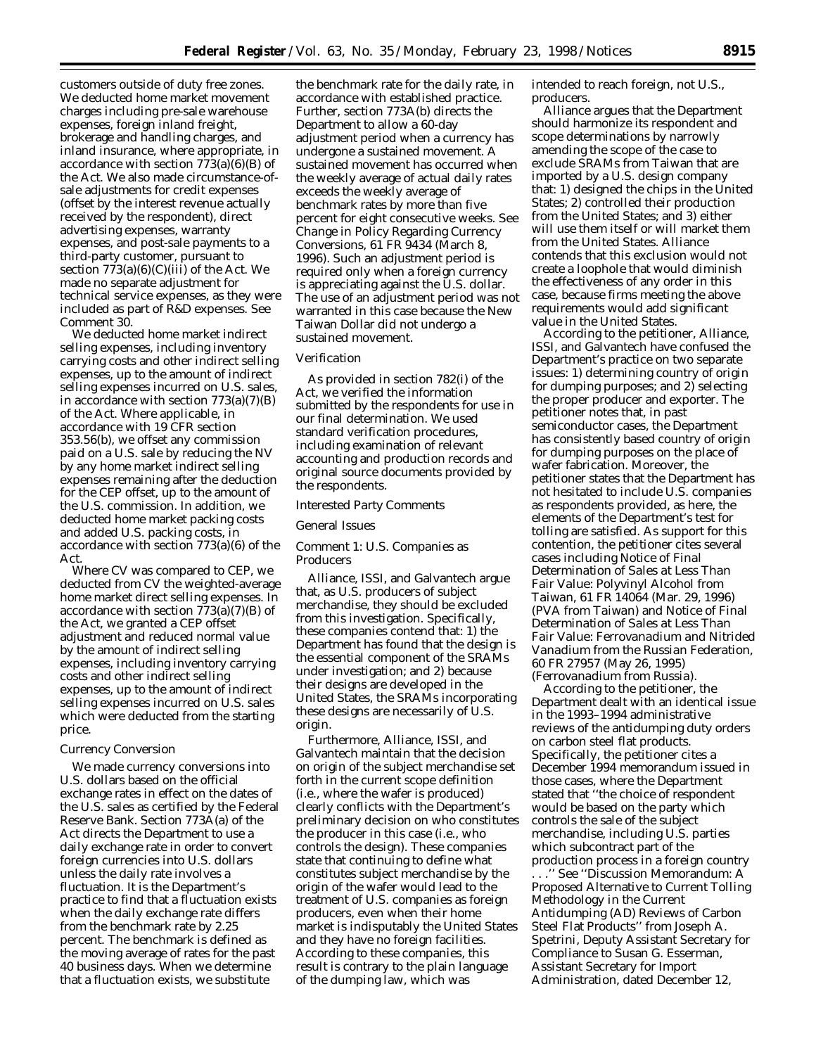customers outside of duty free zones. We deducted home market movement charges including pre-sale warehouse expenses, foreign inland freight, brokerage and handling charges, and inland insurance, where appropriate, in accordance with section  $773(a)(6)(B)$  of the Act. We also made circumstance-ofsale adjustments for credit expenses (offset by the interest revenue actually received by the respondent), direct advertising expenses, warranty expenses, and post-sale payments to a third-party customer, pursuant to section  $773(a)(6)(C)(iii)$  of the Act. We made no separate adjustment for technical service expenses, as they were included as part of R&D expenses. *See Comment 30*.

We deducted home market indirect selling expenses, including inventory carrying costs and other indirect selling expenses, up to the amount of indirect selling expenses incurred on U.S. sales, in accordance with section  $773(a)(7)(B)$ of the Act. Where applicable, in accordance with 19 CFR section 353.56(b), we offset any commission paid on a U.S. sale by reducing the NV by any home market indirect selling expenses remaining after the deduction for the CEP offset, up to the amount of the U.S. commission. In addition, we deducted home market packing costs and added U.S. packing costs, in accordance with section 773(a)(6) of the Act.

Where CV was compared to CEP, we deducted from CV the weighted-average home market direct selling expenses. In accordance with section 773(a)(7)(B) of the Act, we granted a CEP offset adjustment and reduced normal value by the amount of indirect selling expenses, including inventory carrying costs and other indirect selling expenses, up to the amount of indirect selling expenses incurred on U.S. sales which were deducted from the starting price.

### *Currency Conversion*

We made currency conversions into U.S. dollars based on the official exchange rates in effect on the dates of the U.S. sales as certified by the Federal Reserve Bank. Section 773A(a) of the Act directs the Department to use a daily exchange rate in order to convert foreign currencies into U.S. dollars unless the daily rate involves a fluctuation. It is the Department's practice to find that a fluctuation exists when the daily exchange rate differs from the benchmark rate by 2.25 percent. The benchmark is defined as the moving average of rates for the past 40 business days. When we determine that a fluctuation exists, we substitute

the benchmark rate for the daily rate, in accordance with established practice. Further, section 773A(b) directs the Department to allow a 60-day adjustment period when a currency has undergone a sustained movement. A sustained movement has occurred when the weekly average of actual daily rates exceeds the weekly average of benchmark rates by more than five percent for eight consecutive weeks. *See Change in Policy Regarding Currency Conversions,* 61 FR 9434 (March 8, 1996). Such an adjustment period is required only when a foreign currency is appreciating against the U.S. dollar. The use of an adjustment period was not warranted in this case because the New Taiwan Dollar did not undergo a sustained movement.

### *Verification*

As provided in section 782(i) of the Act, we verified the information submitted by the respondents for use in our final determination. We used standard verification procedures, including examination of relevant accounting and production records and original source documents provided by the respondents.

### *Interested Party Comments*

## General Issues

*Comment 1:* U.S. Companies as Producers

Alliance, ISSI, and Galvantech argue that, as U.S. producers of subject merchandise, they should be excluded from this investigation. Specifically, these companies contend that: 1) the Department has found that the design is the essential component of the SRAMs under investigation; and 2) because their designs are developed in the United States, the SRAMs incorporating these designs are necessarily of U.S. origin.

Furthermore, Alliance, ISSI, and Galvantech maintain that the decision on origin of the subject merchandise set forth in the current scope definition (*i.e.*, where the wafer is produced) clearly conflicts with the Department's preliminary decision on who constitutes the producer in this case (*i.e.*, who controls the design). These companies state that continuing to define what constitutes subject merchandise by the origin of the wafer would lead to the treatment of U.S. companies as foreign producers, even when their home market is indisputably the United States and they have no foreign facilities. According to these companies, this result is contrary to the plain language of the dumping law, which was

intended to reach foreign, not U.S., producers.

Alliance argues that the Department should harmonize its respondent and scope determinations by narrowly amending the scope of the case to exclude SRAMs from Taiwan that are imported by a U.S. design company that: 1) designed the chips in the United States; 2) controlled their production from the United States; and 3) either will use them itself or will market them from the United States. Alliance contends that this exclusion would not create a loophole that would diminish the effectiveness of any order in this case, because firms meeting the above requirements would add significant value in the United States.

According to the petitioner, Alliance, ISSI, and Galvantech have confused the Department's practice on two separate issues: 1) determining country of origin for dumping purposes; and 2) selecting the proper producer and exporter. The petitioner notes that, in past semiconductor cases, the Department has consistently based country of origin for dumping purposes on the place of wafer fabrication. Moreover, the petitioner states that the Department has not hesitated to include U.S. companies as respondents provided, as here, the elements of the Department's test for tolling are satisfied. As support for this contention, the petitioner cites several cases including *Notice of Final Determination of Sales at Less Than Fair Value: Polyvinyl Alcohol from Taiwan,* 61 FR 14064 (Mar. 29, 1996) (*PVA from Taiwan*) and *Notice of Final Determination of Sales at Less Than Fair Value: Ferrovanadium and Nitrided Vanadium from the Russian Federation,* 60 FR 27957 (May 26, 1995) (*Ferrovanadium from Russia*).

According to the petitioner, the Department dealt with an identical issue in the 1993–1994 administrative reviews of the antidumping duty orders on carbon steel flat products. Specifically, the petitioner cites a December 1994 memorandum issued in those cases, where the Department stated that ''the choice of respondent would be based on the party which controls the sale of the subject merchandise, including U.S. parties which subcontract part of the production process in a foreign country . . .'' *See* ''Discussion Memorandum: A

Proposed Alternative to Current Tolling Methodology in the Current Antidumping (AD) Reviews of Carbon Steel Flat Products'' from Joseph A. Spetrini, Deputy Assistant Secretary for Compliance to Susan G. Esserman, Assistant Secretary for Import Administration, dated December 12,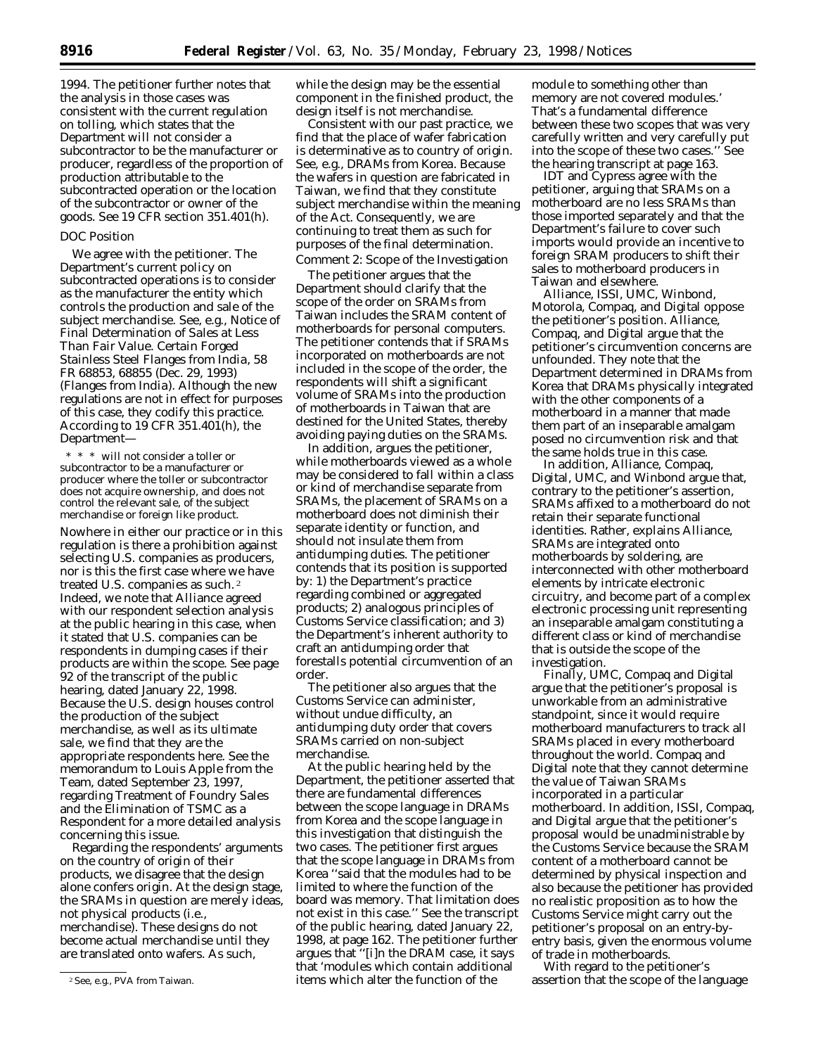1994. The petitioner further notes that the analysis in those cases was consistent with the current regulation on tolling, which states that the Department will not consider a subcontractor to be the manufacturer or producer, regardless of the proportion of production attributable to the subcontracted operation or the location of the subcontractor or owner of the goods. *See* 19 CFR section 351.401(h).

### *DOC Position*

We agree with the petitioner. The Department's current policy on subcontracted operations is to consider as the manufacturer the entity which controls the production and sale of the subject merchandise. *See, e.g., Notice of Final Determination of Sales at Less Than Fair Value. Certain Forged Stainless Steel Flanges from India,* 58 FR 68853, 68855 (Dec. 29, 1993) (*Flanges from India*). Although the new regulations are not in effect for purposes of this case, they codify this practice. According to 19 CFR  $351.401(h)$ , the Department—

\* \* \* will not consider a toller or subcontractor to be a manufacturer or producer where the toller or subcontractor does not acquire ownership, and does not control the relevant sale, of the subject merchandise or foreign like product.

Nowhere in either our practice or in this regulation is there a prohibition against selecting U.S. companies as producers, nor is this the first case where we have treated U.S. companies as such. 2 Indeed, we note that Alliance agreed with our respondent selection analysis at the public hearing in this case, when it stated that U.S. companies can be respondents in dumping cases if their products are within the scope. *See* page 92 of the transcript of the public hearing, dated January 22, 1998. Because the U.S. design houses control the production of the subject merchandise, as well as its ultimate sale, we find that they are the appropriate respondents here. *See* the memorandum to Louis Apple from the Team, dated September 23, 1997, regarding Treatment of Foundry Sales and the Elimination of TSMC as a Respondent for a more detailed analysis concerning this issue.

Regarding the respondents' arguments on the country of origin of their products, we disagree that the design alone confers origin. At the design stage, the SRAMs in question are merely ideas, not physical products (*i.e.*, merchandise). These designs do not become actual merchandise until they are translated onto wafers. As such,

while the design may be the essential component in the finished product, the design itself is *not* merchandise.

Consistent with our past practice, we find that the place of wafer fabrication is determinative as to country of origin. *See, e.g., DRAMs from Korea.* Because the wafers in question are fabricated in Taiwan, we find that they constitute subject merchandise within the meaning of the Act. Consequently, we are continuing to treat them as such for purposes of the final determination. *Comment 2:* Scope of the Investigation

The petitioner argues that the Department should clarify that the scope of the order on SRAMs from Taiwan includes the SRAM content of motherboards for personal computers. The petitioner contends that if SRAMs incorporated on motherboards are not included in the scope of the order, the respondents will shift a significant volume of SRAMs into the production of motherboards in Taiwan that are destined for the United States, thereby avoiding paying duties on the SRAMs.

In addition, argues the petitioner, while motherboards viewed as a whole may be considered to fall within a class or kind of merchandise separate from SRAMs, the placement of SRAMs on a motherboard does not diminish their separate identity or function, and should not insulate them from antidumping duties. The petitioner contends that its position is supported by: 1) the Department's practice regarding combined or aggregated products; 2) analogous principles of Customs Service classification; and 3) the Department's inherent authority to craft an antidumping order that forestalls potential circumvention of an order.

The petitioner also argues that the Customs Service can administer, without undue difficulty, an antidumping duty order that covers SRAMs carried on non-subject merchandise.

At the public hearing held by the Department, the petitioner asserted that there are fundamental differences between the scope language in *DRAMs from Korea* and the scope language in this investigation that distinguish the two cases. The petitioner first argues that the scope language in DRAMs from Korea ''said that the modules had to be limited to where the function of the board was memory. That limitation does not exist in this case.'' *See* the transcript of the public hearing, dated January 22, 1998, at page 162. The petitioner further argues that ''[i]n the DRAM case, it says that 'modules which contain additional items which alter the function of the

module to something other than memory are not covered modules.' That's a fundamental difference between these two scopes that was very carefully written and very carefully put into the scope of these two cases.'' *See* the hearing transcript at page 163.

IDT and Cypress agree with the petitioner, arguing that SRAMs on a motherboard are no less SRAMs than those imported separately and that the Department's failure to cover such imports would provide an incentive to foreign SRAM producers to shift their sales to motherboard producers in Taiwan and elsewhere.

Alliance, ISSI, UMC, Winbond, Motorola, Compaq, and Digital oppose the petitioner's position. Alliance, Compaq, and Digital argue that the petitioner's circumvention concerns are unfounded. They note that the Department determined in *DRAMs from Korea* that DRAMs physically integrated with the other components of a motherboard in a manner that made them part of an inseparable amalgam posed no circumvention risk and that the same holds true in this case.

In addition, Alliance, Compaq, Digital, UMC, and Winbond argue that, contrary to the petitioner's assertion, SRAMs affixed to a motherboard do not retain their separate functional identities. Rather, explains Alliance, SRAMs are integrated onto motherboards by soldering, are interconnected with other motherboard elements by intricate electronic circuitry, and become part of a complex electronic processing unit representing an inseparable amalgam constituting a different class or kind of merchandise that is outside the scope of the investigation.

Finally, UMC, Compaq and Digital argue that the petitioner's proposal is unworkable from an administrative standpoint, since it would require motherboard manufacturers to track all SRAMs placed in every motherboard throughout the world. Compaq and Digital note that they cannot determine the value of Taiwan SRAMs incorporated in a particular motherboard. In addition, ISSI, Compaq, and Digital argue that the petitioner's proposal would be unadministrable by the Customs Service because the SRAM content of a motherboard cannot be determined by physical inspection and also because the petitioner has provided no realistic proposition as to how the Customs Service might carry out the petitioner's proposal on an entry-byentry basis, given the enormous volume of trade in motherboards.

With regard to the petitioner's assertion that the scope of the language

<sup>2</sup>*See, e.g., PVA from Taiwan.*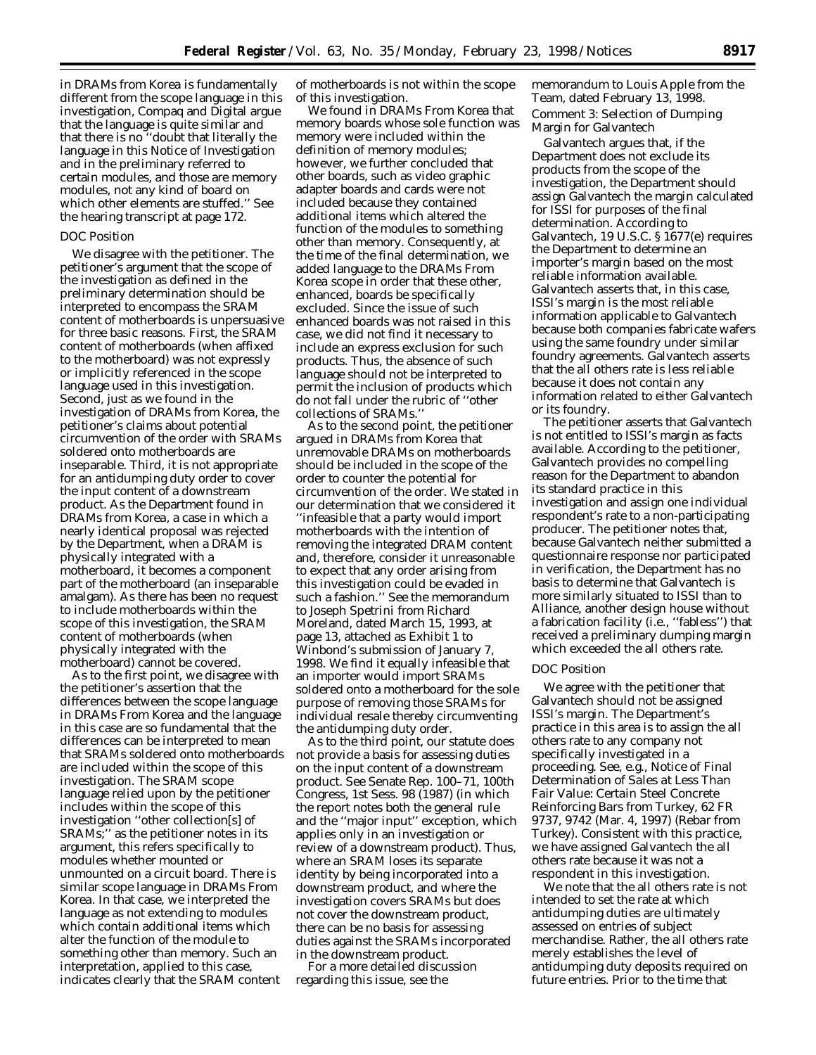in *DRAMs from Korea* is fundamentally different from the scope language in this investigation, Compaq and Digital argue that the language is quite similar and that there is no ''doubt that literally the language in this Notice of Investigation and in the preliminary referred to certain modules, and those are memory modules, not any kind of board on which other elements are stuffed.'' *See* the hearing transcript at page 172.

#### *DOC Position*

We disagree with the petitioner. The petitioner's argument that the scope of the investigation as defined in the preliminary determination should be interpreted to encompass the SRAM content of motherboards is unpersuasive for three basic reasons. First, the SRAM content of motherboards (when affixed to the motherboard) was not expressly or implicitly referenced in the scope language used in this investigation. Second, just as we found in the investigation of *DRAMs from Korea,* the petitioner's claims about potential circumvention of the order with SRAMs soldered onto motherboards are inseparable. Third, it is not appropriate for an antidumping duty order to cover the input content of a downstream product. As the Department found in *DRAMs from Korea,* a case in which a nearly identical proposal was rejected by the Department, when a DRAM is physically integrated with a motherboard, it becomes a component part of the motherboard (an inseparable amalgam). As there has been no request to include motherboards within the scope of this investigation, the SRAM content of motherboards (when physically integrated with the motherboard) cannot be covered.

As to the first point, we disagree with the petitioner's assertion that the differences between the scope language in *DRAMs From Korea* and the language in this case are so fundamental that the differences can be interpreted to mean that SRAMs soldered onto motherboards are included within the scope of this investigation. The SRAM scope language relied upon by the petitioner includes within the scope of this investigation ''other collection[s] of SRAMs;'' as the petitioner notes in its argument, this refers specifically to modules whether mounted or unmounted on a circuit board. There is similar scope language in *DRAMs From Korea.* In that case, we interpreted the language as not extending to modules which contain additional items which alter the function of the module to something other than memory. Such an interpretation, applied to this case, indicates clearly that the SRAM content

of motherboards is not within the scope of this investigation.

We found in *DRAMs From Korea* that memory boards whose sole function was memory were included within the definition of memory modules; however, we further concluded that other boards, such as video graphic adapter boards and cards were not included because they contained additional items which altered the function of the modules to something other than memory. Consequently, at the time of the final determination, we added language to the *DRAMs From Korea* scope in order that these other, enhanced, boards be specifically excluded. Since the issue of such enhanced boards was not raised in this case, we did not find it necessary to include an express exclusion for such products. Thus, the absence of such language should not be interpreted to permit the inclusion of products which do not fall under the rubric of ''other collections of SRAMs.''

As to the second point, the petitioner argued in *DRAMs from Korea* that unremovable DRAMs on motherboards should be included in the scope of the order to counter the potential for circumvention of the order. We stated in our determination that we considered it ''infeasible that a party would import motherboards with the intention of removing the integrated DRAM content and, therefore, consider it unreasonable to expect that any order arising from this investigation could be evaded in such a fashion.'' *See* the memorandum to Joseph Spetrini from Richard Moreland, dated March 15, 1993, at page 13, attached as Exhibit 1 to Winbond's submission of January 7, 1998. We find it equally infeasible that an importer would import SRAMs soldered onto a motherboard for the sole purpose of removing those SRAMs for individual resale thereby circumventing the antidumping duty order.

As to the third point, our statute does not provide a basis for assessing duties on the input content of a downstream product. *See* Senate Rep. 100–71, 100th Congress, 1st Sess. 98 (1987) (in which the report notes both the general rule and the ''major input'' exception, which applies only in an investigation or review of a downstream product). Thus, where an SRAM loses its separate identity by being incorporated into a downstream product, and where the investigation covers SRAMs but does not cover the downstream product, there can be no basis for assessing duties against the SRAMs incorporated in the downstream product.

For a more detailed discussion regarding this issue, see the

memorandum to Louis Apple from the Team, dated February 13, 1998. *Comment 3:* Selection of Dumping Margin for Galvantech

Galvantech argues that, if the Department does not exclude its products from the scope of the investigation, the Department should assign Galvantech the margin calculated for ISSI for purposes of the final determination. According to Galvantech, 19 U.S.C. § 1677(e) requires the Department to determine an importer's margin based on the most reliable information available. Galvantech asserts that, in this case, ISSI's margin is the most reliable information applicable to Galvantech because both companies fabricate wafers using the same foundry under similar foundry agreements. Galvantech asserts that the all others rate is less reliable because it does not contain any information related to either Galvantech or its foundry.

The petitioner asserts that Galvantech is not entitled to ISSI's margin as facts available. According to the petitioner, Galvantech provides no compelling reason for the Department to abandon its standard practice in this investigation and assign one individual respondent's rate to a non-participating producer. The petitioner notes that, because Galvantech neither submitted a questionnaire response nor participated in verification, the Department has no basis to determine that Galvantech is more similarly situated to ISSI than to Alliance, another design house without a fabrication facility (*i.e.,* ''fabless'') that received a preliminary dumping margin which exceeded the all others rate.

#### *DOC Position*

We agree with the petitioner that Galvantech should not be assigned ISSI's margin. The Department's practice in this area is to assign the all others rate to any company not specifically investigated in a proceeding. *See, e.g., Notice of Final Determination of Sales at Less Than Fair Value: Certain Steel Concrete Reinforcing Bars from Turkey,* 62 FR 9737, 9742 (Mar. 4, 1997) (*Rebar from Turkey*). Consistent with this practice, we have assigned Galvantech the all others rate because it was not a respondent in this investigation.

We note that the all others rate is not intended to set the rate at which antidumping duties are ultimately assessed on entries of subject merchandise. Rather, the all others rate merely establishes the level of antidumping duty deposits required on future entries. Prior to the time that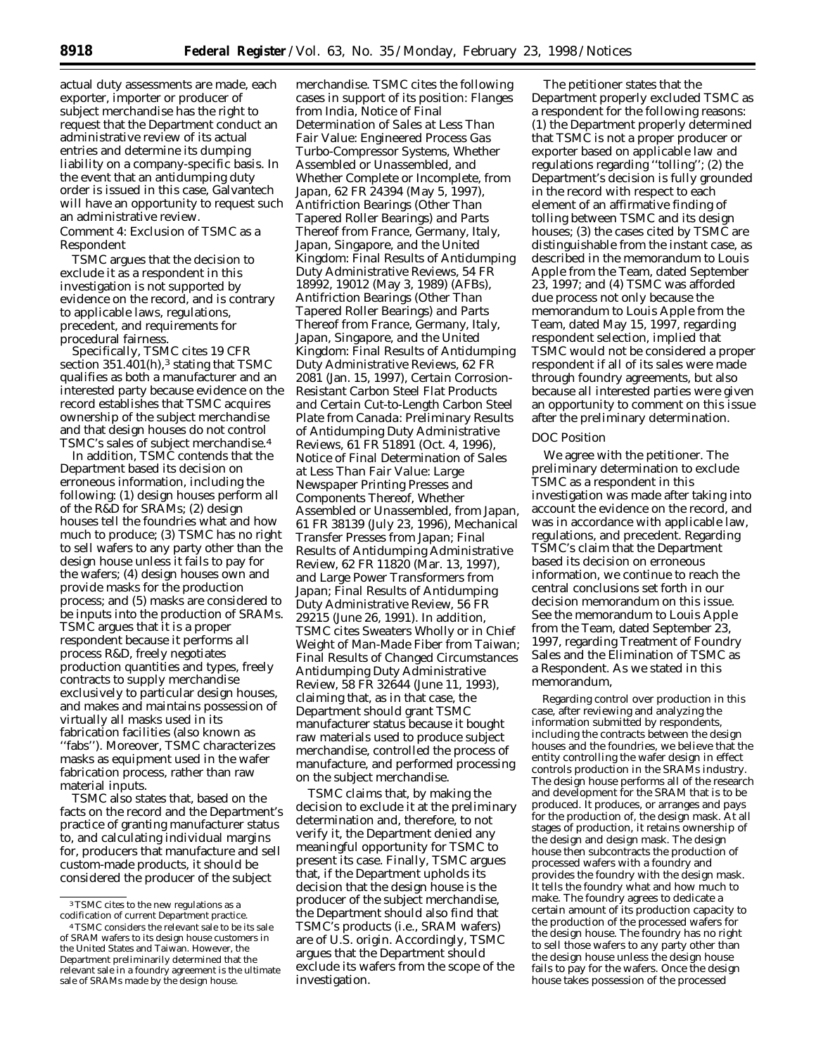actual duty assessments are made, each exporter, importer or producer of subject merchandise has the right to request that the Department conduct an administrative review of its actual entries and determine its dumping liability on a company-specific basis. In the event that an antidumping duty order is issued in this case, Galvantech will have an opportunity to request such an administrative review.

*Comment 4:* Exclusion of TSMC as a Respondent

TSMC argues that the decision to exclude it as a respondent in this investigation is not supported by evidence on the record, and is contrary to applicable laws, regulations, precedent, and requirements for procedural fairness.

Specifically, TSMC cites 19 CFR section  $351.401(h)$ ,<sup>3</sup> stating that TSMC qualifies as both a manufacturer and an interested party because evidence on the record establishes that TSMC acquires ownership of the subject merchandise and that design houses do not control TSMC's sales of subject merchandise.4

In addition, TSMC contends that the Department based its decision on erroneous information, including the following: (1) design houses perform all of the R&D for SRAMs; (2) design houses tell the foundries what and how much to produce; (3) TSMC has no right to sell wafers to any party other than the design house unless it fails to pay for the wafers; (4) design houses own and provide masks for the production process; and (5) masks are considered to be inputs into the production of SRAMs. TSMC argues that it is a proper respondent because it performs all process R&D, freely negotiates production quantities and types, freely contracts to supply merchandise exclusively to particular design houses, and makes and maintains possession of virtually all masks used in its fabrication facilities (also known as ''fabs''). Moreover, TSMC characterizes masks as equipment used in the wafer fabrication process, rather than raw material inputs.

TSMC also states that, based on the facts on the record and the Department's practice of granting manufacturer status to, and calculating individual margins for, producers that manufacture and sell custom-made products, it should be considered the producer of the subject

merchandise. TSMC cites the following cases in support of its position: *Flanges from India, Notice of Final Determination of Sales at Less Than Fair Value: Engineered Process Gas Turbo-Compressor Systems, Whether Assembled or Unassembled, and Whether Complete or Incomplete, from Japan,* 62 FR 24394 (May 5, 1997), *Antifriction Bearings (Other Than Tapered Roller Bearings) and Parts Thereof from France, Germany, Italy, Japan, Singapore, and the United Kingdom: Final Results of Antidumping Duty Administrative Reviews,* 54 FR 18992, 19012 (May 3, 1989) (*AFBs*), *Antifriction Bearings* (*Other Than Tapered Roller Bearings*) *and Parts Thereof from France, Germany, Italy, Japan, Singapore, and the United Kingdom: Final Results of Antidumping Duty Administrative Reviews,* 62 FR 2081 (Jan. 15, 1997), *Certain Corrosion-Resistant Carbon Steel Flat Products and Certain Cut-to-Length Carbon Steel Plate from Canada: Preliminary Results of Antidumping Duty Administrative Reviews,* 61 FR 51891 (Oct. 4, 1996), *Notice of Final Determination of Sales at Less Than Fair Value: Large Newspaper Printing Presses and Components Thereof, Whether Assembled or Unassembled, from Japan,* 61 FR 38139 (July 23, 1996), *Mechanical Transfer Presses from Japan; Final Results of Antidumping Administrative Review,* 62 FR 11820 (Mar. 13, 1997), and *Large Power Transformers from Japan; Final Results of Antidumping Duty Administrative Review,* 56 FR 29215 (June 26, 1991). In addition, TSMC cites *Sweaters Wholly or in Chief Weight of Man-Made Fiber from Taiwan; Final Results of Changed Circumstances Antidumping Duty Administrative Review,* 58 FR 32644 (June 11, 1993), claiming that, as in that case, the Department should grant TSMC manufacturer status because it bought raw materials used to produce subject merchandise, controlled the process of manufacture, and performed processing on the subject merchandise.

TSMC claims that, by making the decision to exclude it at the preliminary determination and, therefore, to not verify it, the Department denied any meaningful opportunity for TSMC to present its case. Finally, TSMC argues that, if the Department upholds its decision that the design house is the producer of the subject merchandise, the Department should also find that TSMC's products (*i.e.,* SRAM wafers) are of U.S. origin. Accordingly, TSMC argues that the Department should exclude its wafers from the scope of the investigation.

The petitioner states that the Department properly excluded TSMC as a respondent for the following reasons: (1) the Department properly determined that TSMC is not a proper producer or exporter based on applicable law and regulations regarding ''tolling''; (2) the Department's decision is fully grounded in the record with respect to each element of an affirmative finding of tolling between TSMC and its design houses; (3) the cases cited by TSMC are distinguishable from the instant case, as described in the memorandum to Louis Apple from the Team, dated September 23, 1997; and (4) TSMC was afforded due process not only because the memorandum to Louis Apple from the Team, dated May 15, 1997, regarding respondent selection, implied that TSMC would not be considered a proper respondent if all of its sales were made through foundry agreements, but also because all interested parties were given an opportunity to comment on this issue after the preliminary determination.

# *DOC Position*

We agree with the petitioner. The preliminary determination to exclude TSMC as a respondent in this investigation was made after taking into account the evidence on the record, and was in accordance with applicable law, regulations, and precedent. Regarding TSMC's claim that the Department based its decision on erroneous information, we continue to reach the central conclusions set forth in our decision memorandum on this issue. See the memorandum to Louis Apple from the Team, dated September 23, 1997, regarding Treatment of Foundry Sales and the Elimination of TSMC as a Respondent. As we stated in this memorandum,

Regarding control over production in this case, after reviewing and analyzing the information submitted by respondents, including the contracts between the design houses and the foundries, we believe that the entity controlling the wafer design in effect controls production in the SRAMs industry. The design house performs all of the research and development for the SRAM that is to be produced. It produces, or arranges and pays for the production of, the design mask. At all stages of production, it retains ownership of the design and design mask. The design house then subcontracts the production of processed wafers with a foundry and provides the foundry with the design mask. It tells the foundry what and how much to make. The foundry agrees to dedicate a certain amount of its production capacity to the production of the processed wafers for the design house. The foundry has no right to sell those wafers to any party other than the design house unless the design house fails to pay for the wafers. Once the design house takes possession of the processed

<sup>3</sup>TSMC cites to the new regulations as a codification of current Department practice.

<sup>4</sup>TSMC considers the relevant sale to be its sale of SRAM wafers to its design house customers in the United States and Taiwan. However, the Department preliminarily determined that the relevant sale in a foundry agreement is the ultimate sale of SRAMs made by the design house.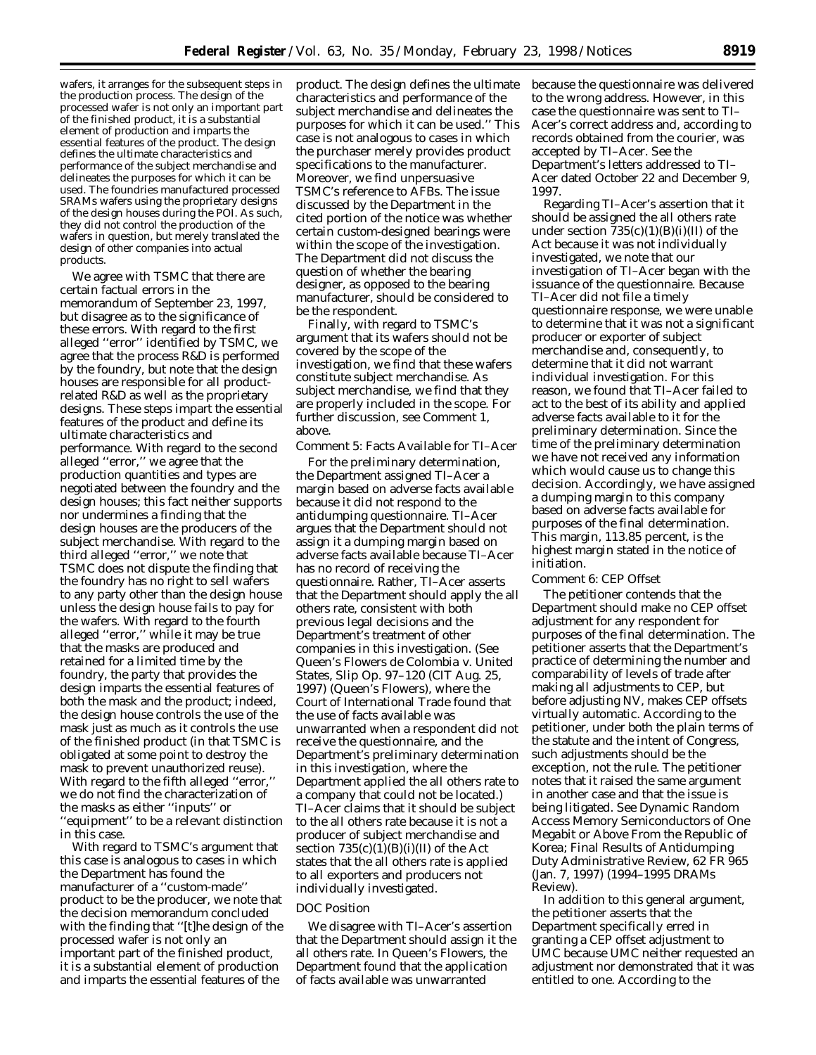wafers, it arranges for the subsequent steps in the production process. The design of the processed wafer is not only an important part of the finished product, it is a substantial element of production and imparts the essential features of the product. The design defines the ultimate characteristics and performance of the subject merchandise and delineates the purposes for which it can be used. The foundries manufactured processed SRAMs wafers using the proprietary designs of the design houses during the POI. As such, they did not control the production of the wafers in question, but merely translated the design of other companies into actual products.

We agree with TSMC that there are certain factual errors in the memorandum of September 23, 1997, but disagree as to the significance of these errors. With regard to the first alleged ''error'' identified by TSMC, we agree that the process R&D is performed by the foundry, but note that the design houses are responsible for all productrelated R&D as well as the proprietary designs. These steps impart the essential features of the product and define its ultimate characteristics and performance. With regard to the second alleged ''error,'' we agree that the production quantities and types are negotiated between the foundry and the design houses; this fact neither supports nor undermines a finding that the design houses are the producers of the subject merchandise. With regard to the third alleged ''error,'' we note that TSMC does not dispute the finding that the foundry has no right to sell wafers to any party other than the design house unless the design house fails to pay for the wafers. With regard to the fourth alleged ''error,'' while it may be true that the masks are produced and retained for a limited time by the foundry, the party that provides the design imparts the essential features of both the mask and the product; indeed, the design house controls the use of the mask just as much as it controls the use of the finished product (in that TSMC is obligated at some point to destroy the mask to prevent unauthorized reuse). With regard to the fifth alleged ''error,'' we do not find the characterization of the masks as either ''inputs'' or ''equipment'' to be a relevant distinction in this case.

With regard to TSMC's argument that this case is analogous to cases in which the Department has found the manufacturer of a ''custom-made'' product to be the producer, we note that the decision memorandum concluded with the finding that ''[t]he design of the processed wafer is not only an important part of the finished product, it is a substantial element of production and imparts the essential features of the

product. The design defines the ultimate characteristics and performance of the subject merchandise and delineates the purposes for which it can be used.'' This case is not analogous to cases in which the purchaser merely provides product specifications to the manufacturer. Moreover, we find unpersuasive TSMC's reference to *AFBs.* The issue discussed by the Department in the cited portion of the notice was whether certain custom-designed bearings were within the scope of the investigation. The Department did not discuss the question of whether the bearing designer, as opposed to the bearing manufacturer, should be considered to be the respondent.

Finally, with regard to TSMC's argument that its wafers should not be covered by the scope of the investigation, we find that these wafers constitute subject merchandise. As subject merchandise, we find that they are properly included in the scope. For further discussion, see *Comment 1,* above.

## *Comment 5:* Facts Available for TI–Acer

For the preliminary determination, the Department assigned TI–Acer a margin based on adverse facts available because it did not respond to the antidumping questionnaire. TI–Acer argues that the Department should not assign it a dumping margin based on adverse facts available because TI–Acer has no record of receiving the questionnaire. Rather, TI–Acer asserts that the Department should apply the all others rate, consistent with both previous legal decisions and the Department's treatment of other companies in this investigation. (*See Queen's Flowers de Colombia v. United States,* Slip Op. 97–120 (CIT Aug. 25, 1997) (*Queen's Flowers*), where the Court of International Trade found that the use of facts available was unwarranted when a respondent did not receive the questionnaire, and the Department's preliminary determination in this investigation, where the Department applied the all others rate to a company that could not be located.) TI–Acer claims that it should be subject to the all others rate because it is not a producer of subject merchandise and section  $735(c)(1)(B)(i)(II)$  of the Act states that the all others rate is applied to all exporters and producers not individually investigated.

#### *DOC Position*

We disagree with TI–Acer's assertion that the Department should assign it the all others rate. In *Queen's Flowers,* the Department found that the application of facts available was unwarranted

because the questionnaire was delivered to the wrong address. However, in this case the questionnaire was sent to TI– Acer's correct address and, according to records obtained from the courier, was accepted by TI–Acer. *See* the Department's letters addressed to TI– Acer dated October 22 and December 9, 1997.

Regarding TI–Acer's assertion that it should be assigned the all others rate under section  $735(c)(1)(B)(i)(II)$  of the Act because it was not individually investigated, we note that our investigation of TI–Acer began with the issuance of the questionnaire. Because TI–Acer did not file a timely questionnaire response, we were unable to determine that it was not a significant producer or exporter of subject merchandise and, consequently, to determine that it did not warrant individual investigation. For this reason, we found that TI–Acer failed to act to the best of its ability and applied adverse facts available to it for the preliminary determination. Since the time of the preliminary determination we have not received any information which would cause us to change this decision. Accordingly, we have assigned a dumping margin to this company based on adverse facts available for purposes of the final determination. This margin, 113.85 percent, is the highest margin stated in the notice of initiation.

### *Comment 6:* CEP Offset

The petitioner contends that the Department should make no CEP offset adjustment for any respondent for purposes of the final determination. The petitioner asserts that the Department's practice of determining the number and comparability of levels of trade after making all adjustments to CEP, but before adjusting NV, makes CEP offsets virtually automatic. According to the petitioner, under both the plain terms of the statute and the intent of Congress, such adjustments should be the exception, not the rule. The petitioner notes that it raised the same argument in another case and that the issue is being litigated. *See Dynamic Random Access Memory Semiconductors of One Megabit or Above From the Republic of Korea; Final Results of Antidumping Duty Administrative Review,* 62 FR 965 (Jan. 7, 1997) (*1994–1995 DRAMs Review*).

In addition to this general argument, the petitioner asserts that the Department specifically erred in granting a CEP offset adjustment to UMC because UMC neither requested an adjustment nor demonstrated that it was entitled to one. According to the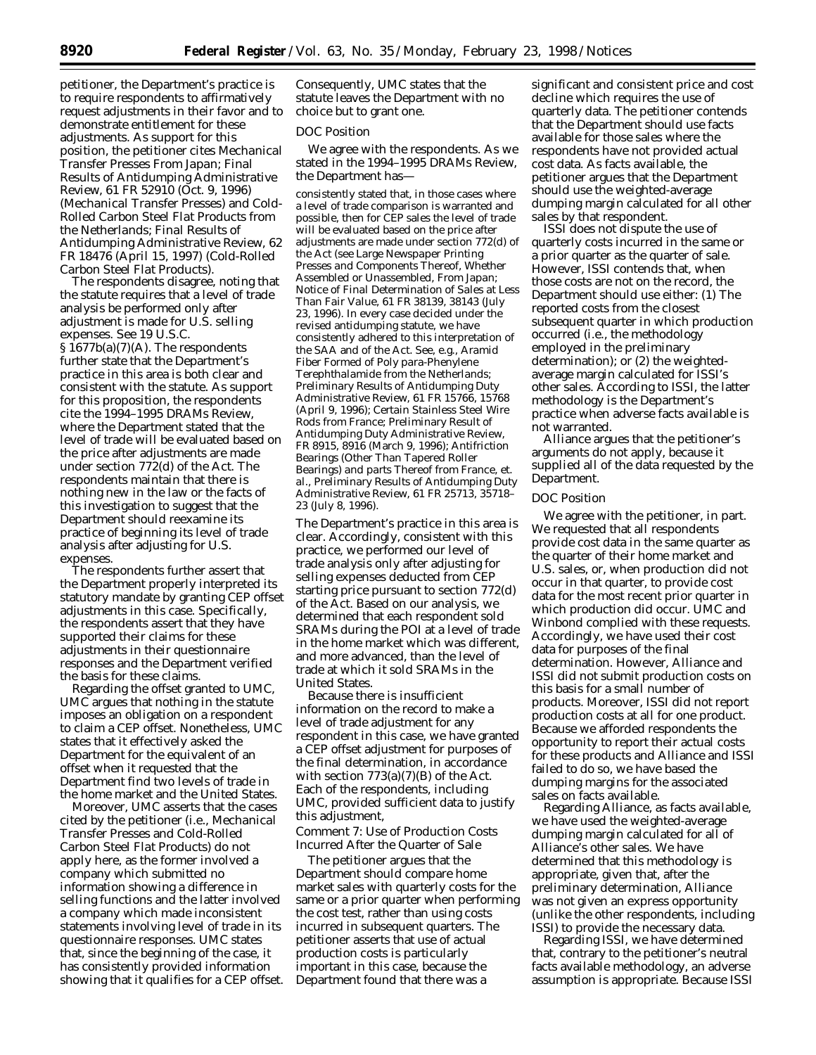petitioner, the Department's practice is to require respondents to affirmatively request adjustments in their favor and to demonstrate entitlement for these adjustments. As support for this position, the petitioner cites *Mechanical Transfer Presses From Japan; Final Results of Antidumping Administrative Review,* 61 FR 52910 (Oct. 9, 1996) (*Mechanical Transfer Presses*) and *Cold-Rolled Carbon Steel Flat Products from the Netherlands; Final Results of Antidumping Administrative Review,* 62 FR 18476 (April 15, 1997) (*Cold-Rolled Carbon Steel Flat Products*).

The respondents disagree, noting that the statute requires that a level of trade analysis be performed only after adjustment is made for U.S. selling expenses. *See* 19 U.S.C. § 1677b(a)(7)(A). The respondents further state that the Department's practice in this area is both clear and consistent with the statute. As support for this proposition, the respondents cite the *1994–1995 DRAMs Review,* where the Department stated that the level of trade will be evaluated based on the price after adjustments are made under section 772(d) of the Act. The respondents maintain that there is nothing new in the law or the facts of this investigation to suggest that the Department should reexamine its practice of beginning its level of trade analysis after adjusting for U.S. expenses.

The respondents further assert that the Department properly interpreted its statutory mandate by granting CEP offset adjustments in this case. Specifically, the respondents assert that they have supported their claims for these adjustments in their questionnaire responses and the Department verified the basis for these claims.

Regarding the offset granted to UMC, UMC argues that nothing in the statute imposes an obligation on a respondent to claim a CEP offset. Nonetheless, UMC states that it effectively asked the Department for the equivalent of an offset when it requested that the Department find two levels of trade in the home market and the United States.

Moreover, UMC asserts that the cases cited by the petitioner (*i.e., Mechanical Transfer Presses* and *Cold-Rolled Carbon Steel Flat Products*) do not apply here, as the former involved a company which submitted no information showing a difference in selling functions and the latter involved a company which made inconsistent statements involving level of trade in its questionnaire responses. UMC states that, since the beginning of the case, it has consistently provided information showing that it qualifies for a CEP offset.

Consequently, UMC states that the statute leaves the Department with no choice but to grant one.

### *DOC Position*

We agree with the respondents. As we stated in the *1994–1995 DRAMs Review*, the Department has—

consistently stated that, in those cases where a level of trade comparison is warranted and possible, then for CEP sales the level of trade will be evaluated based on the price after adjustments are made under section 772(d) of the Act (see *Large Newspaper Printing Presses and Components Thereof, Whether Assembled or Unassembled, From Japan; Notice of Final Determination of Sales at Less Than Fair Value,* 61 FR 38139, 38143 (July 23, 1996). In every case decided under the revised antidumping statute, we have consistently adhered to this interpretation of the SAA and of the Act. *See, e.g., Aramid Fiber Formed of Poly para-Phenylene Terephthalamide from the Netherlands; Preliminary Results of Antidumping Duty Administrative Review,* 61 FR 15766, 15768 (April 9, 1996); *Certain Stainless Steel Wire Rods from France; Preliminary Result of Antidumping Duty Administrative Review,* FR 8915, 8916 (March 9, 1996); *Antifriction Bearings (Other Than Tapered Roller Bearings) and parts Thereof from France, et. al., Preliminary Results of Antidumping Duty Administrative Review,* 61 FR 25713, 35718– 23 (July 8, 1996).

The Department's practice in this area is clear. Accordingly, consistent with this practice, we performed our level of trade analysis only after adjusting for selling expenses deducted from CEP starting price pursuant to section 772(d) of the Act. Based on our analysis, we determined that each respondent sold SRAMs during the POI at a level of trade in the home market which was different, and more advanced, than the level of trade at which it sold SRAMs in the United States.

Because there is insufficient information on the record to make a level of trade adjustment for any respondent in this case, we have granted a CEP offset adjustment for purposes of the final determination, in accordance with section  $773(a)(7)(B)$  of the Act. Each of the respondents, including UMC, provided sufficient data to justify this adjustment,

*Comment 7:* Use of Production Costs Incurred After the Quarter of Sale

The petitioner argues that the Department should compare home market sales with quarterly costs for the same or a prior quarter when performing the cost test, rather than using costs incurred in subsequent quarters. The petitioner asserts that use of actual production costs is particularly important in this case, because the Department found that there was a

significant and consistent price and cost decline which requires the use of quarterly data. The petitioner contends that the Department should use facts available for those sales where the respondents have not provided actual cost data. As facts available, the petitioner argues that the Department should use the weighted-average dumping margin calculated for all other sales by that respondent.

ISSI does not dispute the use of quarterly costs incurred in the same or a prior quarter as the quarter of sale. However, ISSI contends that, when those costs are not on the record, the Department should use either: (1) The reported costs from the closest subsequent quarter in which production occurred (*i.e.,* the methodology employed in the preliminary determination); or (2) the weightedaverage margin calculated for ISSI's other sales. According to ISSI, the latter methodology is the Department's practice when adverse facts available is not warranted.

Alliance argues that the petitioner's arguments do not apply, because it supplied all of the data requested by the Department.

## *DOC Position*

We agree with the petitioner, in part. We requested that all respondents provide cost data in the same quarter as the quarter of their home market and U.S. sales, or, when production did not occur in that quarter, to provide cost data for the most recent prior quarter in which production did occur. UMC and Winbond complied with these requests. Accordingly, we have used their cost data for purposes of the final determination. However, Alliance and ISSI did not submit production costs on this basis for a small number of products. Moreover, ISSI did not report production costs at all for one product. Because we afforded respondents the opportunity to report their actual costs for these products and Alliance and ISSI failed to do so, we have based the dumping margins for the associated sales on facts available.

Regarding Alliance, as facts available, we have used the weighted-average dumping margin calculated for all of Alliance's other sales. We have determined that this methodology is appropriate, given that, after the preliminary determination, Alliance was not given an express opportunity (unlike the other respondents, including ISSI) to provide the necessary data.

Regarding ISSI, we have determined that, contrary to the petitioner's neutral facts available methodology, an adverse assumption is appropriate. Because ISSI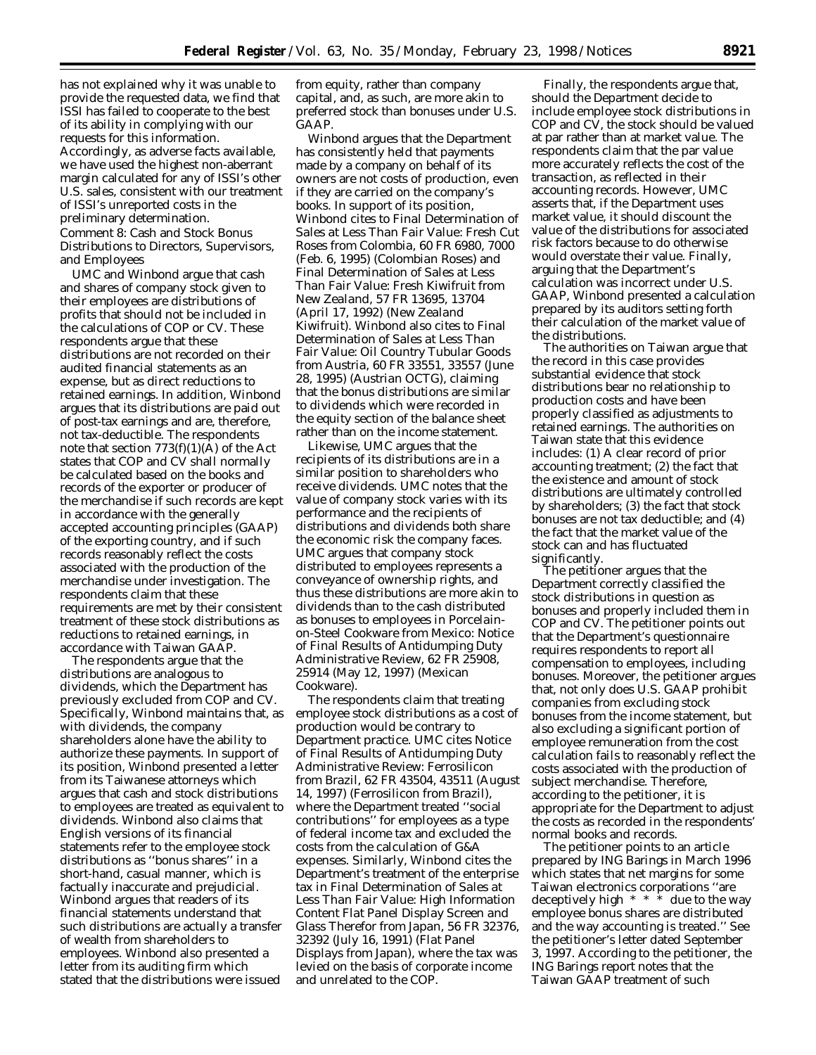has not explained why it was unable to provide the requested data, we find that ISSI has failed to cooperate to the best of its ability in complying with our requests for this information. Accordingly, as adverse facts available, we have used the highest non-aberrant margin calculated for any of ISSI's other U.S. sales, consistent with our treatment of ISSI's unreported costs in the preliminary determination. *Comment 8:* Cash and Stock Bonus Distributions to Directors, Supervisors, and Employees

UMC and Winbond argue that cash and shares of company stock given to their employees are distributions of profits that should not be included in the calculations of COP or CV. These respondents argue that these distributions are not recorded on their audited financial statements as an expense, but as direct reductions to retained earnings. In addition, Winbond argues that its distributions are paid out of post-tax earnings and are, therefore, not tax-deductible. The respondents note that section  $773(f)(1)(A)$  of the Act states that COP and CV shall normally be calculated based on the books and records of the exporter or producer of the merchandise if such records are kept in accordance with the generally accepted accounting principles (GAAP) of the exporting country, and if such records reasonably reflect the costs associated with the production of the merchandise under investigation. The respondents claim that these requirements are met by their consistent treatment of these stock distributions as reductions to retained earnings, in accordance with Taiwan GAAP.

The respondents argue that the distributions are analogous to dividends, which the Department has previously excluded from COP and CV. Specifically, Winbond maintains that, as with dividends, the company shareholders alone have the ability to authorize these payments. In support of its position, Winbond presented a letter from its Taiwanese attorneys which argues that cash and stock distributions to employees are treated as equivalent to dividends. Winbond also claims that English versions of its financial statements refer to the employee stock distributions as ''bonus shares'' in a short-hand, casual manner, which is factually inaccurate and prejudicial. Winbond argues that readers of its financial statements understand that such distributions are actually a transfer of wealth from shareholders to employees. Winbond also presented a letter from its auditing firm which stated that the distributions were issued

from equity, rather than company capital, and, as such, are more akin to preferred stock than bonuses under U.S. GAAP.

Winbond argues that the Department has consistently held that payments made by a company on behalf of its owners are not costs of production, even if they are carried on the company's books. In support of its position, Winbond cites to *Final Determination of Sales at Less Than Fair Value: Fresh Cut Roses from Colombia,* 60 FR 6980, 7000 (Feb. 6, 1995) (*Colombian Roses*) and *Final Determination of Sales at Less Than Fair Value: Fresh Kiwifruit from New Zealand,* 57 FR 13695, 13704 (April 17, 1992) (*New Zealand Kiwifruit*). Winbond also cites to *Final Determination of Sales at Less Than Fair Value: Oil Country Tubular Goods from Austria,* 60 FR 33551, 33557 (June 28, 1995) (*Austrian OCTG*), claiming that the bonus distributions are similar to dividends which were recorded in the equity section of the balance sheet rather than on the income statement.

Likewise, UMC argues that the recipients of its distributions are in a similar position to shareholders who receive dividends. UMC notes that the value of company stock varies with its performance and the recipients of distributions and dividends both share the economic risk the company faces. UMC argues that company stock distributed to employees represents a conveyance of ownership rights, and thus these distributions are more akin to dividends than to the cash distributed as bonuses to employees in *Porcelainon-Steel Cookware from Mexico: Notice of Final Results of Antidumping Duty Administrative Review,* 62 FR 25908, 25914 (May 12, 1997) (*Mexican Cookware*).

The respondents claim that treating employee stock distributions as a cost of production would be contrary to Department practice. UMC cites *Notice of Final Results of Antidumping Duty Administrative Review: Ferrosilicon from Brazil,* 62 FR 43504, 43511 (August 14, 1997) (*Ferrosilicon from Brazil*), where the Department treated ''social contributions'' for employees as a type of federal income tax and excluded the costs from the calculation of G&A expenses. Similarly, Winbond cites the Department's treatment of the enterprise tax in *Final Determination of Sales at Less Than Fair Value: High Information Content Flat Panel Display Screen and Glass Therefor from Japan,* 56 FR 32376, 32392 (July 16, 1991) (*Flat Panel Displays from Japan*), where the tax was levied on the basis of corporate income and unrelated to the COP.

Finally, the respondents argue that, should the Department decide to include employee stock distributions in COP and CV, the stock should be valued at par rather than at market value. The respondents claim that the par value more accurately reflects the cost of the transaction, as reflected in their accounting records. However, UMC asserts that, if the Department uses market value, it should discount the value of the distributions for associated risk factors because to do otherwise would overstate their value. Finally, arguing that the Department's calculation was incorrect under U.S. GAAP, Winbond presented a calculation prepared by its auditors setting forth their calculation of the market value of the distributions.

The authorities on Taiwan argue that the record in this case provides substantial evidence that stock distributions bear no relationship to production costs and have been properly classified as adjustments to retained earnings. The authorities on Taiwan state that this evidence includes: (1) A clear record of prior accounting treatment; (2) the fact that the existence and amount of stock distributions are ultimately controlled by shareholders; (3) the fact that stock bonuses are not tax deductible; and (4) the fact that the market value of the stock can and has fluctuated significantly.

The petitioner argues that the Department correctly classified the stock distributions in question as bonuses and properly included them in COP and CV. The petitioner points out that the Department's questionnaire requires respondents to report all compensation to employees, including bonuses. Moreover, the petitioner argues that, not only does U.S. GAAP prohibit companies from excluding stock bonuses from the income statement, but also excluding a significant portion of employee remuneration from the cost calculation fails to reasonably reflect the costs associated with the production of subject merchandise. Therefore, according to the petitioner, it is appropriate for the Department to adjust the costs as recorded in the respondents' normal books and records.

The petitioner points to an article prepared by ING Barings in March 1996 which states that net margins for some Taiwan electronics corporations ''are deceptively high  $* * *$  due to the way employee bonus shares are distributed and the way accounting is treated.'' *See* the petitioner's letter dated September 3, 1997. According to the petitioner, the ING Barings report notes that the Taiwan GAAP treatment of such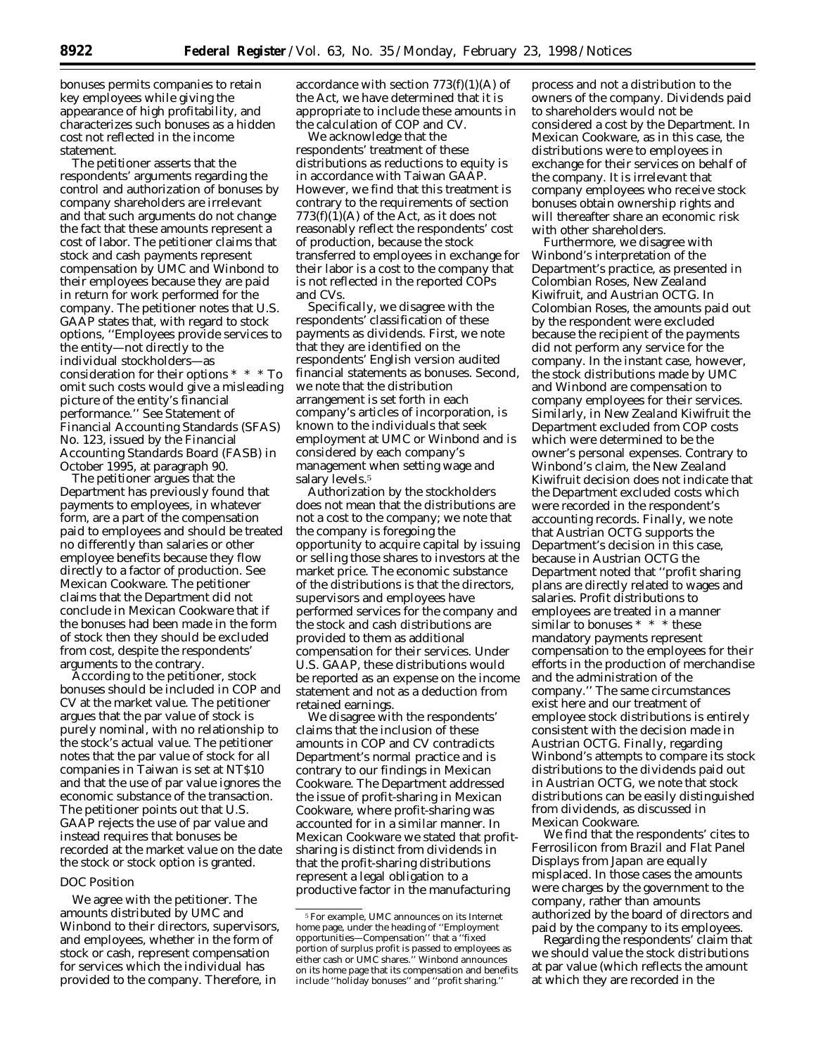bonuses permits companies to retain key employees while giving the appearance of high profitability, and characterizes such bonuses as a hidden cost not reflected in the income statement.

The petitioner asserts that the respondents' arguments regarding the control and authorization of bonuses by company shareholders are irrelevant and that such arguments do not change the fact that these amounts represent a cost of labor. The petitioner claims that stock and cash payments represent compensation by UMC and Winbond to their employees because they are paid in return for work performed for the company. The petitioner notes that U.S. GAAP states that, with regard to stock options, ''Employees provide services to the entity—not directly to the individual stockholders—as consideration for their options \* \* \* To omit such costs would give a misleading picture of the entity's financial performance.'' *See* Statement of Financial Accounting Standards (SFAS) No. 123, issued by the Financial Accounting Standards Board (FASB) in October 1995, at paragraph 90.

The petitioner argues that the Department has previously found that payments to employees, in whatever form, are a part of the compensation paid to employees and should be treated no differently than salaries or other employee benefits because they flow directly to a factor of production. *See Mexican Cookware.* The petitioner claims that the Department did not conclude in *Mexican Cookware* that if the bonuses had been made in the form of stock then they should be excluded from cost, despite the respondents' arguments to the contrary.

According to the petitioner, stock bonuses should be included in COP and CV at the market value. The petitioner argues that the par value of stock is purely nominal, with no relationship to the stock's actual value. The petitioner notes that the par value of stock for all companies in Taiwan is set at NT\$10 and that the use of par value ignores the economic substance of the transaction. The petitioner points out that U.S. GAAP rejects the use of par value and instead requires that bonuses be recorded at the market value on the date the stock or stock option is granted.

## *DOC Position*

We agree with the petitioner. The amounts distributed by UMC and Winbond to their directors, supervisors, and employees, whether in the form of stock or cash, represent compensation for services which the individual has provided to the company. Therefore, in

accordance with section 773(f)(1)(A) of the Act, we have determined that it is appropriate to include these amounts in the calculation of COP and CV.

We acknowledge that the respondents' treatment of these distributions as reductions to equity is in accordance with Taiwan GAAP. However, we find that this treatment is contrary to the requirements of section  $773(f)(1)(A)$  of the Act, as it does not reasonably reflect the respondents' cost of production, because the stock transferred to employees in exchange for their labor is a cost to the company that is not reflected in the reported COPs and CVs.

Specifically, we disagree with the respondents' classification of these payments as dividends. First, we note that they are identified on the respondents' English version audited financial statements as bonuses. Second, we note that the distribution arrangement is set forth in each company's articles of incorporation, is known to the individuals that seek employment at UMC or Winbond and is considered by each company's management when setting wage and salary levels.<sup>5</sup>

Authorization by the stockholders does not mean that the distributions are not a cost to the company; we note that the company is foregoing the opportunity to acquire capital by issuing or selling those shares to investors at the market price. The economic substance of the distributions is that the directors, supervisors and employees have performed services for the company and the stock and cash distributions are provided to them as additional compensation for their services. Under U.S. GAAP, these distributions would be reported as an expense on the income statement and not as a deduction from retained earnings.

We disagree with the respondents' claims that the inclusion of these amounts in COP and CV contradicts Department's normal practice and is contrary to our findings in *Mexican Cookware.* The Department addressed the issue of profit-sharing in *Mexican Cookware*, where profit-sharing was accounted for in a similar manner. In *Mexican Cookware* we stated that profitsharing is distinct from dividends in that the profit-sharing distributions represent a legal obligation to a productive factor in the manufacturing

process and not a distribution to the owners of the company. Dividends paid to shareholders would not be considered a cost by the Department. In *Mexican Cookware,* as in this case, the distributions were to employees in exchange for their services on behalf of the company. It is irrelevant that company employees who receive stock bonuses obtain ownership rights and will thereafter share an economic risk with other shareholders.

Furthermore, we disagree with Winbond's interpretation of the Department's practice, as presented in *Colombian Roses*, *New Zealand Kiwifruit*, and *Austrian OCTG.* In *Colombian Roses*, the amounts paid out by the respondent were excluded because the recipient of the payments did not perform any service for the company. In the instant case, however, the stock distributions made by UMC and Winbond are compensation to company employees for their services. Similarly, in *New Zealand Kiwifruit* the Department excluded from COP costs which were determined to be the owner's personal expenses. Contrary to Winbond's claim, the *New Zealand Kiwifruit* decision does not indicate that the Department excluded costs which were recorded in the respondent's accounting records. Finally, we note that *Austrian OCTG* supports the Department's decision in this case, because in *Austrian OCTG* the Department noted that ''profit sharing plans are directly related to wages and salaries. Profit distributions to employees are treated in a manner similar to bonuses \* \* \* these mandatory payments represent compensation to the employees for their efforts in the production of merchandise and the administration of the company.'' The same circumstances exist here and our treatment of employee stock distributions is entirely consistent with the decision made in *Austrian OCTG*. Finally, regarding Winbond's attempts to compare its stock distributions to the dividends paid out in *Austrian OCTG*, we note that stock distributions can be easily distinguished from dividends, as discussed in *Mexican Cookware.*

We find that the respondents' cites to *Ferrosilicon from Brazil* and *Flat Panel Displays from Japan* are equally misplaced. In those cases the amounts were charges by the government to the company, rather than amounts authorized by the board of directors and paid by the company to its employees.

Regarding the respondents' claim that we should value the stock distributions at par value (which reflects the amount at which they are recorded in the

<sup>5</sup>For example, UMC announces on its Internet home page, under the heading of ''Employment opportunities—Compensation'' that a ''fixed portion of surplus profit is passed to employees as either cash or UMC shares.'' Winbond announces on its home page that its compensation and benefits include "holiday bonuses" and "profit sharing.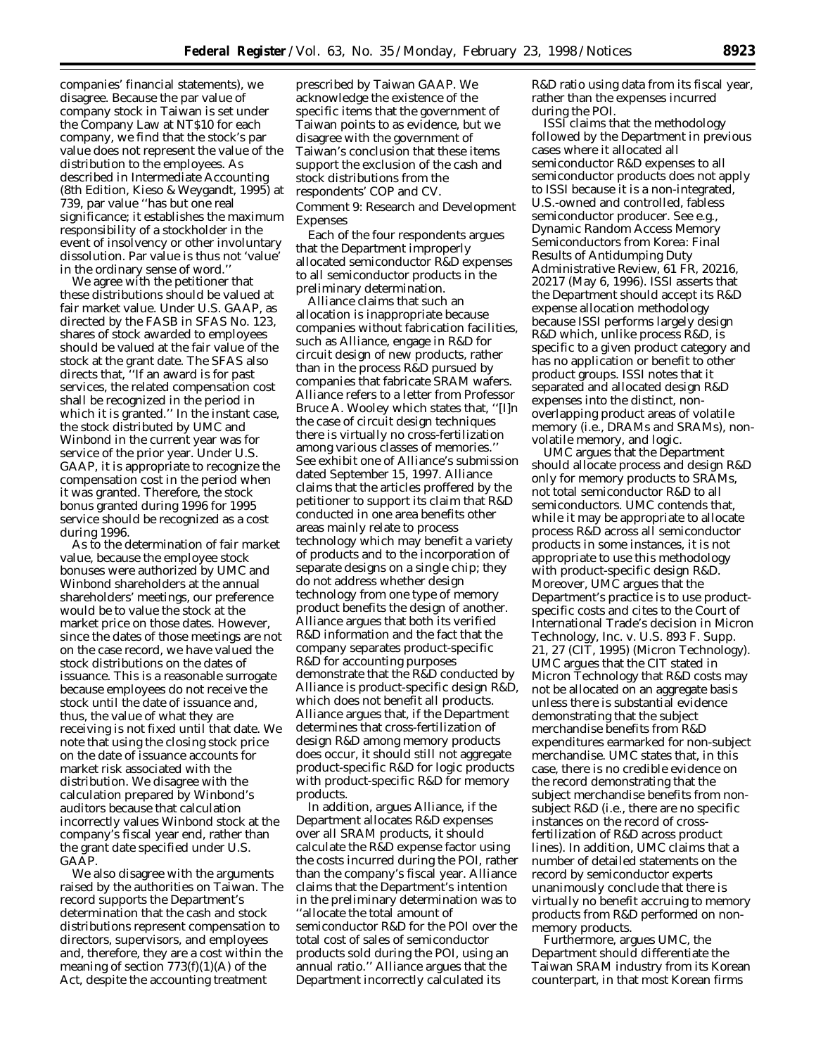companies' financial statements), we disagree. Because the par value of company stock in Taiwan is set under the Company Law at NT\$10 for each company, we find that the stock's par value does not represent the value of the distribution to the employees. As described in Intermediate Accounting (8th Edition, Kieso & Weygandt, 1995) at 739, par value ''has but one real significance; it establishes the maximum responsibility of a stockholder in the event of insolvency or other involuntary dissolution. Par value is thus not 'value' in the ordinary sense of word.''

We agree with the petitioner that these distributions should be valued at fair market value. Under U.S. GAAP, as directed by the FASB in SFAS No. 123, shares of stock awarded to employees should be valued at the fair value of the stock at the grant date. The SFAS also directs that, ''If an award is for past services, the related compensation cost shall be recognized in the period in which it is granted.'' In the instant case, the stock distributed by UMC and Winbond in the current year was for service of the prior year. Under U.S. GAAP, it is appropriate to recognize the compensation cost in the period when it was granted. Therefore, the stock bonus granted during 1996 for 1995 service should be recognized as a cost during 1996.

As to the determination of fair market value, because the employee stock bonuses were authorized by UMC and Winbond shareholders at the annual shareholders' meetings, our preference would be to value the stock at the market price on those dates. However, since the dates of those meetings are not on the case record, we have valued the stock distributions on the dates of issuance. This is a reasonable surrogate because employees do not receive the stock until the date of issuance and, thus, the value of what they are receiving is not fixed until that date. We note that using the closing stock price on the date of issuance accounts for market risk associated with the distribution. We disagree with the calculation prepared by Winbond's auditors because that calculation incorrectly values Winbond stock at the company's fiscal year end, rather than the grant date specified under U.S. GAAP.

We also disagree with the arguments raised by the authorities on Taiwan. The record supports the Department's determination that the cash and stock distributions represent compensation to directors, supervisors, and employees and, therefore, they are a cost within the meaning of section  $773(f)(1)(A)$  of the Act, despite the accounting treatment

prescribed by Taiwan GAAP. We acknowledge the existence of the specific items that the government of Taiwan points to as evidence, but we disagree with the government of Taiwan's conclusion that these items support the exclusion of the cash and stock distributions from the respondents' COP and CV. *Comment 9:* Research and Development Expenses

Each of the four respondents argues that the Department improperly allocated semiconductor R&D expenses to all semiconductor products in the preliminary determination.

Alliance claims that such an allocation is inappropriate because companies without fabrication facilities, such as Alliance, engage in R&D for circuit design of new products, rather than in the process R&D pursued by companies that fabricate SRAM wafers. Alliance refers to a letter from Professor Bruce A. Wooley which states that, ''[I]n the case of circuit design techniques there is virtually no cross-fertilization among various classes of memories.'' *See* exhibit one of Alliance's submission dated September 15, 1997. Alliance claims that the articles proffered by the petitioner to support its claim that R&D conducted in one area benefits other areas mainly relate to process technology which may benefit a variety of products and to the incorporation of separate designs on a single chip; they do not address whether design technology from one type of memory product benefits the design of another. Alliance argues that both its verified R&D information and the fact that the company separates product-specific R&D for accounting purposes demonstrate that the R&D conducted by Alliance is product-specific design R&D, which does not benefit all products. Alliance argues that, if the Department determines that cross-fertilization of design R&D among memory products does occur, it should still not aggregate product-specific R&D for logic products with product-specific R&D for memory products.

In addition, argues Alliance, if the Department allocates R&D expenses over all SRAM products, it should calculate the R&D expense factor using the costs incurred during the POI, rather than the company's fiscal year. Alliance claims that the Department's intention in the preliminary determination was to ''allocate the total amount of semiconductor R&D for the POI over the total cost of sales of semiconductor products sold during the POI, using an annual ratio.'' Alliance argues that the Department incorrectly calculated its

R&D ratio using data from its fiscal year, rather than the expenses incurred during the POI.

ISSI claims that the methodology followed by the Department in previous cases where it allocated all semiconductor R&D expenses to all semiconductor products does not apply to ISSI because it is a non-integrated, U.S.-owned and controlled, fabless semiconductor producer. *See e.g., Dynamic Random Access Memory Semiconductors from Korea: Final Results of Antidumping Duty Administrative Review,* 61 FR, 20216, 20217 (May 6, 1996). ISSI asserts that the Department should accept its R&D expense allocation methodology because ISSI performs largely design R&D which, unlike process R&D, is specific to a given product category and has no application or benefit to other product groups. ISSI notes that it separated and allocated design R&D expenses into the distinct, nonoverlapping product areas of volatile memory (*i.e.,* DRAMs and SRAMs), nonvolatile memory, and logic.

UMC argues that the Department should allocate process and design R&D only for memory products to SRAMs, not total semiconductor R&D to all semiconductors. UMC contends that, while it may be appropriate to allocate process R&D across all semiconductor products in some instances, it is not appropriate to use this methodology with product-specific design R&D. Moreover, UMC argues that the Department's practice is to use productspecific costs and cites to the Court of International Trade's decision in *Micron Technology, Inc.* v. *U.S.* 893 F. Supp. 21, 27 (CIT, 1995) (*Micron Technology*). UMC argues that the CIT stated in *Micron Technology* that R&D costs may not be allocated on an aggregate basis unless there is substantial evidence demonstrating that the subject merchandise benefits from R&D expenditures earmarked for non-subject merchandise. UMC states that, in this case, there is no credible evidence on the record demonstrating that the subject merchandise benefits from nonsubject R&D (*i.e.,* there are no specific instances on the record of crossfertilization of R&D across product lines). In addition, UMC claims that a number of detailed statements on the record by semiconductor experts unanimously conclude that there is virtually no benefit accruing to memory products from R&D performed on nonmemory products.

Furthermore, argues UMC, the Department should differentiate the Taiwan SRAM industry from its Korean counterpart, in that most Korean firms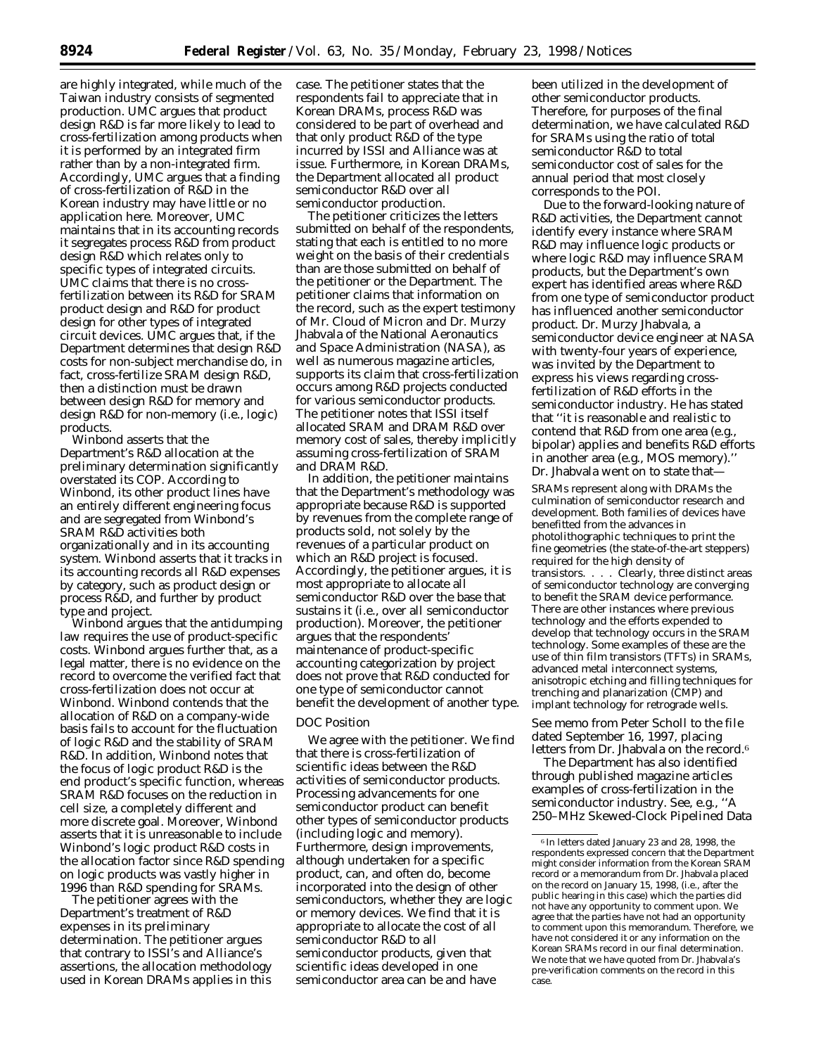are highly integrated, while much of the Taiwan industry consists of segmented production. UMC argues that product design R&D is far more likely to lead to cross-fertilization among products when it is performed by an integrated firm rather than by a non-integrated firm. Accordingly, UMC argues that a finding of cross-fertilization of R&D in the Korean industry may have little or no application here. Moreover, UMC maintains that in its accounting records it segregates process R&D from product design R&D which relates only to specific types of integrated circuits. UMC claims that there is no crossfertilization between its R&D for SRAM product design and R&D for product design for other types of integrated circuit devices. UMC argues that, if the Department determines that design R&D costs for non-subject merchandise do, in fact, cross-fertilize SRAM design R&D, then a distinction must be drawn between design R&D for memory and design R&D for non-memory (*i.e.,* logic) products.

Winbond asserts that the Department's R&D allocation at the preliminary determination significantly overstated its COP. According to Winbond, its other product lines have an entirely different engineering focus and are segregated from Winbond's SRAM R&D activities both organizationally and in its accounting system. Winbond asserts that it tracks in its accounting records all R&D expenses by category, such as product design or process R&D, and further by product type and project.

Winbond argues that the antidumping law requires the use of product-specific costs. Winbond argues further that, as a legal matter, there is no evidence on the record to overcome the verified fact that cross-fertilization does not occur at Winbond. Winbond contends that the allocation of R&D on a company-wide basis fails to account for the fluctuation of logic R&D and the stability of SRAM R&D. In addition, Winbond notes that the focus of logic product R&D is the end product's specific function, whereas SRAM R&D focuses on the reduction in cell size, a completely different and more discrete goal. Moreover, Winbond asserts that it is unreasonable to include Winbond's logic product R&D costs in the allocation factor since R&D spending on logic products was vastly higher in 1996 than R&D spending for SRAMs.

The petitioner agrees with the Department's treatment of R&D expenses in its preliminary determination. The petitioner argues that contrary to ISSI's and Alliance's assertions, the allocation methodology used in Korean DRAMs applies in this case. The petitioner states that the respondents fail to appreciate that in Korean DRAMs, process R&D was considered to be part of overhead and that only product R&D of the type incurred by ISSI and Alliance was at issue. Furthermore, in Korean DRAMs, the Department allocated all product semiconductor R&D over all semiconductor production.

The petitioner criticizes the letters submitted on behalf of the respondents, stating that each is entitled to no more weight on the basis of their credentials than are those submitted on behalf of the petitioner or the Department. The petitioner claims that information on the record, such as the expert testimony of Mr. Cloud of Micron and Dr. Murzy Jhabvala of the National Aeronautics and Space Administration (NASA), as well as numerous magazine articles, supports its claim that cross-fertilization occurs among R&D projects conducted for various semiconductor products. The petitioner notes that ISSI itself allocated SRAM and DRAM R&D over memory cost of sales, thereby implicitly assuming cross-fertilization of SRAM and DRAM R&D.

In addition, the petitioner maintains that the Department's methodology was appropriate because R&D is supported by revenues from the complete range of products sold, not solely by the revenues of a particular product on which an R&D project is focused. Accordingly, the petitioner argues, it is most appropriate to allocate all semiconductor R&D over the base that sustains it (*i.e.,* over all semiconductor production). Moreover, the petitioner argues that the respondents' maintenance of product-specific accounting categorization by project does not prove that R&D conducted for one type of semiconductor cannot benefit the development of another type.

## *DOC Position*

We agree with the petitioner. We find that there is cross-fertilization of scientific ideas between the R&D activities of semiconductor products. Processing advancements for one semiconductor product can benefit other types of semiconductor products (including logic and memory). Furthermore, design improvements, although undertaken for a specific product, can, and often do, become incorporated into the design of other semiconductors, whether they are logic or memory devices. We find that it is appropriate to allocate the cost of all semiconductor R&D to all semiconductor products, given that scientific ideas developed in one semiconductor area can be and have

been utilized in the development of other semiconductor products. Therefore, for purposes of the final determination, we have calculated R&D for SRAMs using the ratio of total semiconductor R&D to total semiconductor cost of sales for the annual period that most closely corresponds to the POI.

Due to the forward-looking nature of R&D activities, the Department cannot identify every instance where SRAM R&D may influence logic products or where logic R&D may influence SRAM products, but the Department's own expert has identified areas where R&D from one type of semiconductor product has influenced another semiconductor product. Dr. Murzy Jhabvala, a semiconductor device engineer at NASA with twenty-four years of experience, was invited by the Department to express his views regarding crossfertilization of R&D efforts in the semiconductor industry. He has stated that ''it is reasonable and realistic to contend that R&D from one area (*e.g.,* bipolar) applies and benefits R&D efforts in another area (*e.g.,* MOS memory).'' Dr. Jhabvala went on to state that—

SRAMs represent along with DRAMs the culmination of semiconductor research and development. Both families of devices have benefitted from the advances in photolithographic techniques to print the fine geometries (the state-of-the-art steppers) required for the high density of transistors. . . . Clearly, three distinct areas of semiconductor technology are converging to benefit the SRAM device performance. There are other instances where previous technology and the efforts expended to develop that technology occurs in the SRAM technology. Some examples of these are the use of thin film transistors (TFTs) in SRAMs, advanced metal interconnect systems, anisotropic etching and filling techniques for trenching and planarization (CMP) and implant technology for retrograde wells.

*See* memo from Peter Scholl to the file dated September 16, 1997, placing letters from Dr. Jhabvala on the record.6

The Department has also identified through published magazine articles examples of cross-fertilization in the semiconductor industry. *See, e.g.,* ''A 250–MHz Skewed-Clock Pipelined Data

<sup>6</sup> In letters dated January 23 and 28, 1998, the respondents expressed concern that the Department might consider information from the Korean SRAM record or a memorandum from Dr. Jhabvala placed on the record on January 15, 1998, (*i.e.,* after the public hearing in this case) which the parties did not have any opportunity to comment upon. We agree that the parties have not had an opportunity to comment upon this memorandum. Therefore, we have not considered it or any information on the Korean SRAMs record in our final determination. We note that we have quoted from Dr. Jhabvala's pre-verification comments on the record in this case.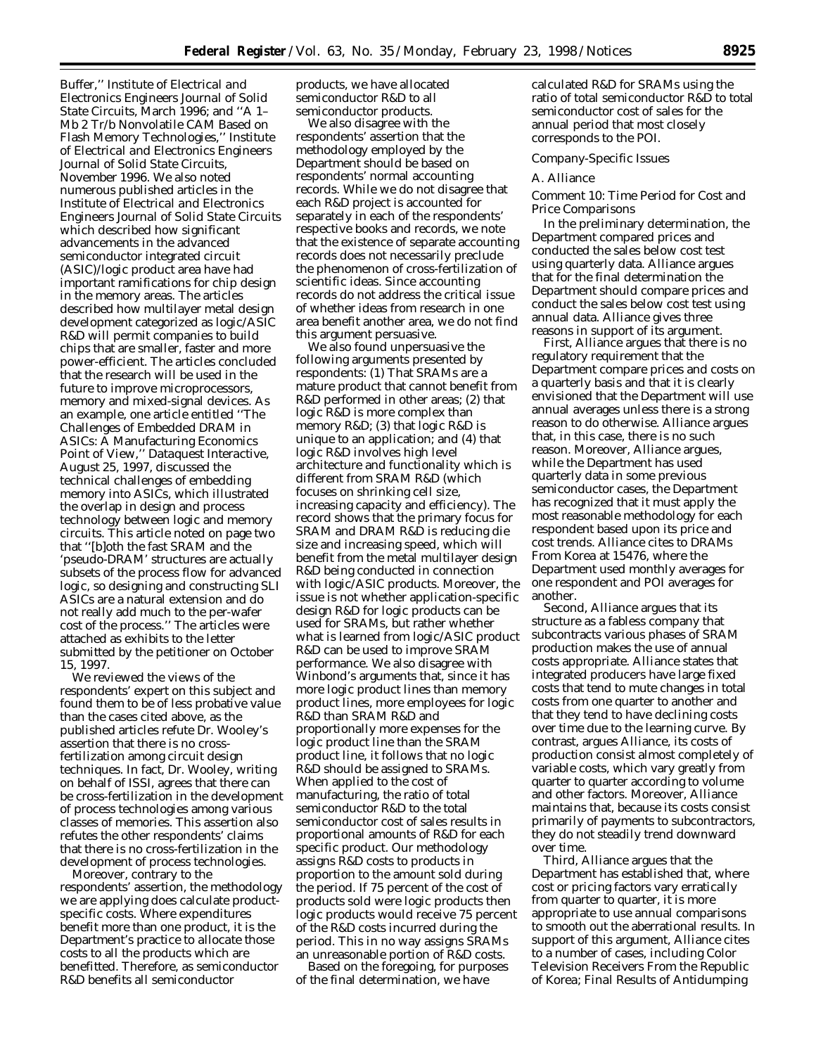Buffer,'' *Institute of Electrical and Electronics Engineers Journal of Solid State Circuits,* March 1996; and ''A 1– Mb 2 Tr/b Nonvolatile CAM Based on Flash Memory Technologies,'' *Institute of Electrical and Electronics Engineers Journal of Solid State Circuits,* November 1996. We also noted numerous published articles in the *Institute of Electrical and Electronics Engineers Journal of Solid State Circuits* which described how significant advancements in the advanced semiconductor integrated circuit (ASIC)/logic product area have had important ramifications for chip design in the memory areas. The articles described how multilayer metal design development categorized as logic/ASIC R&D will permit companies to build chips that are smaller, faster and more power-efficient. The articles concluded that the research will be used in the future to improve microprocessors, memory and mixed-signal devices. As an example, one article entitled ''The Challenges of Embedded DRAM in ASICs: A Manufacturing Economics Point of View,'' *Dataquest Interactive,* August 25, 1997, discussed the technical challenges of embedding memory into ASICs, which illustrated the overlap in design and process technology between logic and memory circuits. This article noted on page two that ''[b]oth the fast SRAM and the 'pseudo-DRAM' structures are actually subsets of the process flow for advanced logic, so designing and constructing SLI ASICs are a natural extension and do not really add much to the per-wafer cost of the process.'' The articles were attached as exhibits to the letter submitted by the petitioner on October 15, 1997.

We reviewed the views of the respondents' expert on this subject and found them to be of less probative value than the cases cited above, as the published articles refute Dr. Wooley's assertion that there is no crossfertilization among circuit design techniques. In fact, Dr. Wooley, writing on behalf of ISSI, agrees that there can be cross-fertilization in the development of process technologies among various classes of memories. This assertion also refutes the other respondents' claims that there is no cross-fertilization in the development of process technologies.

Moreover, contrary to the respondents' assertion, the methodology we are applying does calculate productspecific costs. Where expenditures benefit more than one product, it is the Department's practice to *allocate* those costs to all the products which are benefitted. Therefore, as semiconductor R&D benefits all semiconductor

products, we have allocated semiconductor R&D to all semiconductor products.

We also disagree with the respondents' assertion that the methodology employed by the Department should be based on respondents' normal accounting records. While we do not disagree that each R&D project is accounted for separately in each of the respondents' respective books and records, we note that the existence of separate accounting records does not necessarily preclude the phenomenon of cross-fertilization of scientific ideas. Since accounting records do not address the critical issue of whether ideas from research in one area benefit another area, we do not find this argument persuasive.

We also found unpersuasive the following arguments presented by respondents: (1) That SRAMs are a mature product that cannot benefit from R&D performed in other areas; (2) that logic R&D is more complex than memory R&D; (3) that logic R&D is unique to an application; and (4) that logic R&D involves high level architecture and functionality which is different from SRAM R&D (which focuses on shrinking cell size, increasing capacity and efficiency). The record shows that the primary focus for SRAM and DRAM R&D is reducing die size and increasing speed, which will benefit from the metal multilayer design R&D being conducted in connection with logic/ASIC products. Moreover, the issue is not whether application-specific design R&D for logic products can be used for SRAMs, but rather whether what is learned from logic/ASIC product R&D can be used to improve SRAM performance. We also disagree with Winbond's arguments that, since it has more logic product lines than memory product lines, more employees for logic R&D than SRAM R&D and proportionally more expenses for the logic product line than the SRAM product line, it follows that no logic R&D should be assigned to SRAMs. When applied to the cost of manufacturing, the ratio of total semiconductor R&D to the total semiconductor cost of sales results in proportional amounts of R&D for each specific product. Our methodology assigns R&D costs to products in proportion to the amount sold during the period. If 75 percent of the cost of products sold were logic products then logic products would receive 75 percent of the R&D costs incurred during the period. This in no way assigns SRAMs an unreasonable portion of R&D costs.

Based on the foregoing, for purposes of the final determination, we have

calculated R&D for SRAMs using the ratio of total semiconductor R&D to total semiconductor cost of sales for the annual period that most closely corresponds to the POI.

### *Company-Specific Issues*

#### A. Alliance

*Comment 10:* Time Period for Cost and Price Comparisons

In the preliminary determination, the Department compared prices and conducted the sales below cost test using quarterly data. Alliance argues that for the final determination the Department should compare prices and conduct the sales below cost test using annual data. Alliance gives three reasons in support of its argument.

First, Alliance argues that there is no regulatory requirement that the Department compare prices and costs on a quarterly basis and that it is clearly envisioned that the Department will use annual averages unless there is a strong reason to do otherwise. Alliance argues that, in this case, there is no such reason. Moreover, Alliance argues, while the Department has used quarterly data in some previous semiconductor cases, the Department has recognized that it must apply the most reasonable methodology for each respondent based upon its price and cost trends. Alliance cites to *DRAMs From Korea* at 15476, where the Department used monthly averages for one respondent and POI averages for another.

Second, Alliance argues that its structure as a fabless company that subcontracts various phases of SRAM production makes the use of annual costs appropriate. Alliance states that integrated producers have large fixed costs that tend to mute changes in total costs from one quarter to another and that they tend to have declining costs over time due to the learning curve. By contrast, argues Alliance, its costs of production consist almost completely of variable costs, which vary greatly from quarter to quarter according to volume and other factors. Moreover, Alliance maintains that, because its costs consist primarily of payments to subcontractors, they do not steadily trend downward over time.

Third, Alliance argues that the Department has established that, where cost or pricing factors vary erratically from quarter to quarter, it is more appropriate to use annual comparisons to smooth out the aberrational results. In support of this argument, Alliance cites to a number of cases, including *Color Television Receivers From the Republic of Korea; Final Results of Antidumping*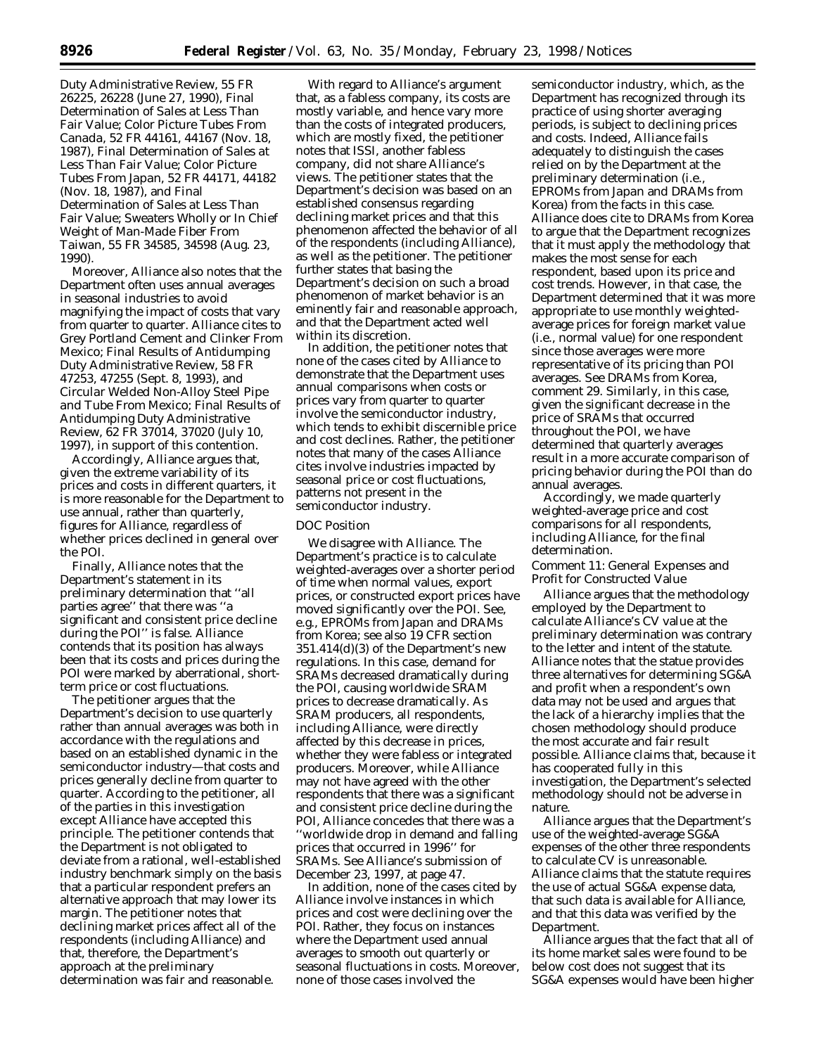*Duty Administrative Review,* 55 FR 26225, 26228 (June 27, 1990), *Final Determination of Sales at Less Than Fair Value; Color Picture Tubes From Canada,* 52 FR 44161, 44167 (Nov. 18, 1987), *Final Determination of Sales at Less Than Fair Value; Color Picture Tubes From Japan,* 52 FR 44171, 44182 (Nov. 18, 1987), and *Final Determination of Sales at Less Than Fair Value; Sweaters Wholly or In Chief Weight of Man-Made Fiber From Taiwan,* 55 FR 34585, 34598 (Aug. 23, 1990).

Moreover, Alliance also notes that the Department often uses annual averages in seasonal industries to avoid magnifying the impact of costs that vary from quarter to quarter. Alliance cites to *Grey Portland Cement and Clinker From Mexico; Final Results of Antidumping Duty Administrative Review,* 58 FR 47253, 47255 (Sept. 8, 1993), and *Circular Welded Non-Alloy Steel Pipe and Tube From Mexico; Final Results of Antidumping Duty Administrative Review,* 62 FR 37014, 37020 (July 10, 1997), in support of this contention.

Accordingly, Alliance argues that, given the extreme variability of its prices and costs in different quarters, it is more reasonable for the Department to use annual, rather than quarterly, figures for Alliance, regardless of whether prices declined in general over the POI.

Finally, Alliance notes that the Department's statement in its preliminary determination that ''all parties agree'' that there was ''a significant and consistent price decline during the POI'' is false. Alliance contends that its position has always been that its costs and prices during the POI were marked by aberrational, shortterm price or cost fluctuations.

The petitioner argues that the Department's decision to use quarterly rather than annual averages was both in accordance with the regulations and based on an established dynamic in the semiconductor industry—that costs and prices generally decline from quarter to quarter. According to the petitioner, all of the parties in this investigation except Alliance have accepted this principle. The petitioner contends that the Department is not obligated to deviate from a rational, well-established industry benchmark simply on the basis that a particular respondent prefers an alternative approach that may lower its margin. The petitioner notes that declining market prices affect all of the respondents (including Alliance) and that, therefore, the Department's approach at the preliminary determination was fair and reasonable.

With regard to Alliance's argument that, as a fabless company, its costs are mostly variable, and hence vary more than the costs of integrated producers, which are mostly fixed, the petitioner notes that ISSI, another fabless company, did not share Alliance's views. The petitioner states that the Department's decision was based on an established consensus regarding declining market prices and that this phenomenon affected the behavior of all of the respondents (including Alliance), as well as the petitioner. The petitioner further states that basing the Department's decision on such a broad phenomenon of market behavior is an eminently fair and reasonable approach, and that the Department acted well within its discretion.

In addition, the petitioner notes that none of the cases cited by Alliance to demonstrate that the Department uses annual comparisons when costs or prices vary from quarter to quarter involve the semiconductor industry, which tends to exhibit discernible price and cost declines. Rather, the petitioner notes that many of the cases Alliance cites involve industries impacted by seasonal price or cost fluctuations, patterns not present in the semiconductor industry.

### *DOC Position*

We disagree with Alliance. The Department's practice is to calculate weighted-averages over a shorter period of time when normal values, export prices, or constructed export prices have moved significantly over the POI. *See, e.g., EPROMs from Japan* and *DRAMs from Korea;* see also 19 CFR section 351.414(d)(3) of the Department's new regulations. In this case, demand for SRAMs decreased dramatically during the POI, causing worldwide SRAM prices to decrease dramatically. As SRAM producers, all respondents, including Alliance, were directly affected by this decrease in prices, whether they were fabless or integrated producers. Moreover, while Alliance may not have agreed with the other respondents that there was a significant and consistent price decline during the POI, Alliance concedes that there was a ''worldwide drop in demand and falling prices that occurred in 1996'' for SRAMs. *See* Alliance's submission of December 23, 1997, at page 47.

In addition, none of the cases cited by Alliance involve instances in which prices and cost were declining over the POI. Rather, they focus on instances where the Department used annual averages to smooth out quarterly or seasonal fluctuations in costs. Moreover, none of those cases involved the

semiconductor industry, which, as the Department has recognized through its practice of using shorter averaging periods, is subject to declining prices and costs. Indeed, Alliance fails adequately to distinguish the cases relied on by the Department at the preliminary determination (*i.e., EPROMs from Japan* and *DRAMs from Korea*) from the facts in this case. Alliance does cite to *DRAMs from Korea* to argue that the Department recognizes that it must apply the methodology that makes the most sense for each respondent, based upon its price and cost trends. However, in that case, the Department determined that it was more appropriate to use monthly weightedaverage prices for foreign market value (*i.e.,* normal value) for one respondent since those averages were more representative of its pricing than POI averages. *See DRAMs from Korea,* comment 29. Similarly, in this case, given the significant decrease in the price of SRAMs that occurred throughout the POI, we have determined that quarterly averages result in a more accurate comparison of pricing behavior during the POI than do annual averages.

Accordingly, we made quarterly weighted-average price and cost comparisons for all respondents, including Alliance, for the final determination.

*Comment 11:* General Expenses and Profit for Constructed Value

Alliance argues that the methodology employed by the Department to calculate Alliance's CV value at the preliminary determination was contrary to the letter and intent of the statute. Alliance notes that the statue provides three alternatives for determining SG&A and profit when a respondent's own data may not be used and argues that the lack of a hierarchy implies that the chosen methodology should produce the most accurate and fair result possible. Alliance claims that, because it has cooperated fully in this investigation, the Department's selected methodology should not be adverse in nature.

Alliance argues that the Department's use of the weighted-average SG&A expenses of the other three respondents to calculate CV is unreasonable. Alliance claims that the statute requires the use of actual SG&A expense data, that such data is available for Alliance, and that this data was verified by the Department.

Alliance argues that the fact that all of its home market sales were found to be below cost does not suggest that its SG&A expenses would have been higher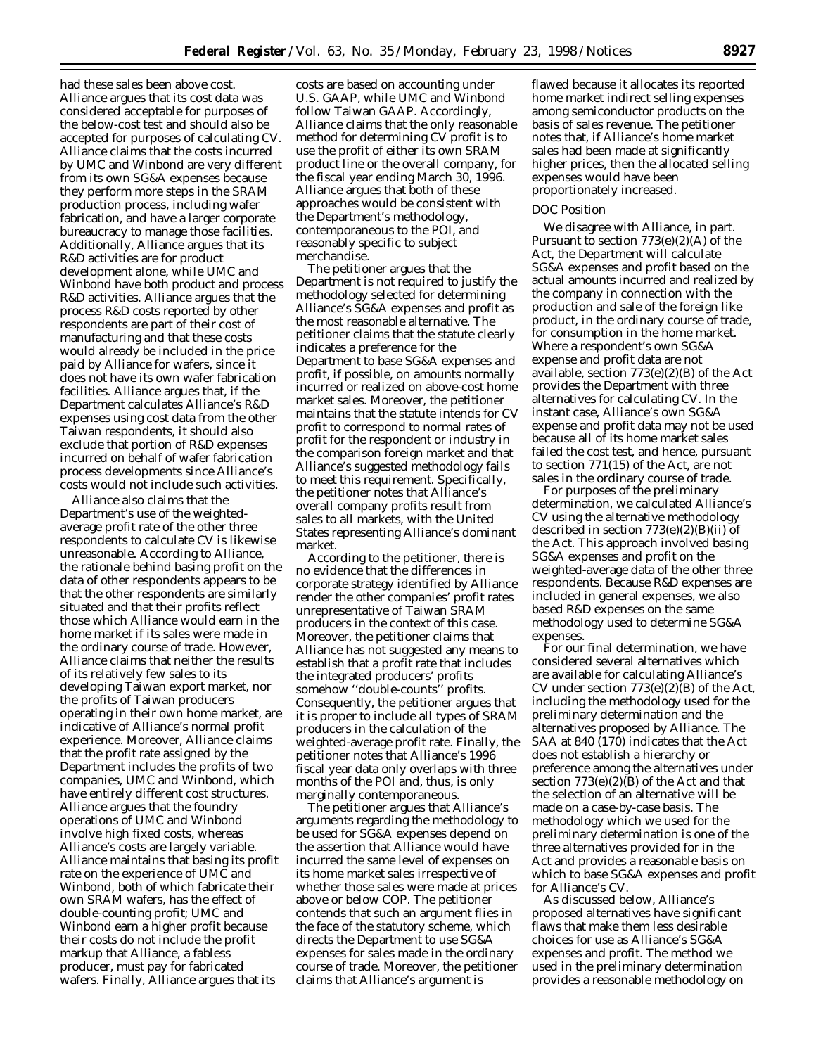had these sales been above cost. Alliance argues that its cost data was considered acceptable for purposes of the below-cost test and should also be accepted for purposes of calculating CV. Alliance claims that the costs incurred by UMC and Winbond are very different from its own SG&A expenses because they perform more steps in the SRAM production process, including wafer fabrication, and have a larger corporate bureaucracy to manage those facilities. Additionally, Alliance argues that its R&D activities are for product development alone, while UMC and Winbond have both product and process R&D activities. Alliance argues that the process R&D costs reported by other respondents are part of their cost of manufacturing and that these costs would already be included in the price paid by Alliance for wafers, since it does not have its own wafer fabrication facilities. Alliance argues that, if the Department calculates Alliance's R&D expenses using cost data from the other Taiwan respondents, it should also exclude that portion of R&D expenses incurred on behalf of wafer fabrication process developments since Alliance's costs would not include such activities.

Alliance also claims that the Department's use of the weightedaverage profit rate of the other three respondents to calculate CV is likewise unreasonable. According to Alliance, the rationale behind basing profit on the data of other respondents appears to be that the other respondents are similarly situated and that their profits reflect those which Alliance would earn in the home market if its sales were made in the ordinary course of trade. However, Alliance claims that neither the results of its relatively few sales to its developing Taiwan export market, nor the profits of Taiwan producers operating in their own home market, are indicative of Alliance's normal profit experience. Moreover, Alliance claims that the profit rate assigned by the Department includes the profits of two companies, UMC and Winbond, which have entirely different cost structures. Alliance argues that the foundry operations of UMC and Winbond involve high fixed costs, whereas Alliance's costs are largely variable. Alliance maintains that basing its profit rate on the experience of UMC and Winbond, both of which fabricate their own SRAM wafers, has the effect of double-counting profit; UMC and Winbond earn a higher profit because their costs do not include the profit markup that Alliance, a fabless producer, must pay for fabricated wafers. Finally, Alliance argues that its

costs are based on accounting under U.S. GAAP, while UMC and Winbond follow Taiwan GAAP. Accordingly, Alliance claims that the only reasonable method for determining CV profit is to use the profit of either its own SRAM product line or the overall company, for the fiscal year ending March 30, 1996. Alliance argues that both of these approaches would be consistent with the Department's methodology, contemporaneous to the POI, and reasonably specific to subject merchandise.

The petitioner argues that the Department is not required to justify the methodology selected for determining Alliance's SG&A expenses and profit as the most reasonable alternative. The petitioner claims that the statute clearly indicates a preference for the Department to base SG&A expenses and profit, if possible, on amounts normally incurred or realized on above-cost home market sales. Moreover, the petitioner maintains that the statute intends for CV profit to correspond to normal rates of profit for the respondent or industry in the comparison foreign market and that Alliance's suggested methodology fails to meet this requirement. Specifically, the petitioner notes that Alliance's overall company profits result from sales to all markets, with the United States representing Alliance's dominant market.

According to the petitioner, there is no evidence that the differences in corporate strategy identified by Alliance render the other companies' profit rates unrepresentative of Taiwan SRAM producers in the context of this case. Moreover, the petitioner claims that Alliance has not suggested any means to establish that a profit rate that includes the integrated producers' profits somehow ''double-counts'' profits. Consequently, the petitioner argues that it is proper to include all types of SRAM producers in the calculation of the weighted-average profit rate. Finally, the petitioner notes that Alliance's 1996 fiscal year data only overlaps with three months of the POI and, thus, is only marginally contemporaneous.

The petitioner argues that Alliance's arguments regarding the methodology to be used for SG&A expenses depend on the assertion that Alliance would have incurred the same level of expenses on its home market sales irrespective of whether those sales were made at prices above or below COP. The petitioner contends that such an argument flies in the face of the statutory scheme, which directs the Department to use SG&A expenses for sales made in the ordinary course of trade. Moreover, the petitioner claims that Alliance's argument is

flawed because it allocates its reported home market indirect selling expenses among semiconductor products on the basis of sales revenue. The petitioner notes that, if Alliance's home market sales had been made at significantly higher prices, then the allocated selling expenses would have been proportionately increased.

### *DOC Position*

We disagree with Alliance, in part. Pursuant to section 773(e)(2)(A) of the Act, the Department will calculate SG&A expenses and profit based on the actual amounts incurred and realized by the company in connection with the production and sale of the foreign like product, in the ordinary course of trade, for consumption in the home market. Where a respondent's own SG&A expense and profit data are not available, section 773(e)(2)(B) of the Act provides the Department with three alternatives for calculating CV. In the instant case, Alliance's own SG&A expense and profit data may not be used because all of its home market sales failed the cost test, and hence, pursuant to section 771(15) of the Act, are not sales in the ordinary course of trade.

For purposes of the preliminary determination, we calculated Alliance's CV using the alternative methodology described in section 773(e)(2)(B)(ii) of the Act. This approach involved basing SG&A expenses and profit on the weighted-average data of the other three respondents. Because R&D expenses are included in general expenses, we also based R&D expenses on the same methodology used to determine SG&A expenses.

For our final determination, we have considered several alternatives which are available for calculating Alliance's CV under section 773(e)(2)(B) of the Act, including the methodology used for the preliminary determination and the alternatives proposed by Alliance. The SAA at 840 (170) indicates that the Act does not establish a hierarchy or preference among the alternatives under section  $773(e)(2)(B)$  of the Act and that the selection of an alternative will be made on a case-by-case basis. The methodology which we used for the preliminary determination is one of the three alternatives provided for in the Act and provides a reasonable basis on which to base SG&A expenses and profit for Alliance's CV.

As discussed below, Alliance's proposed alternatives have significant flaws that make them less desirable choices for use as Alliance's SG&A expenses and profit. The method we used in the preliminary determination provides a reasonable methodology on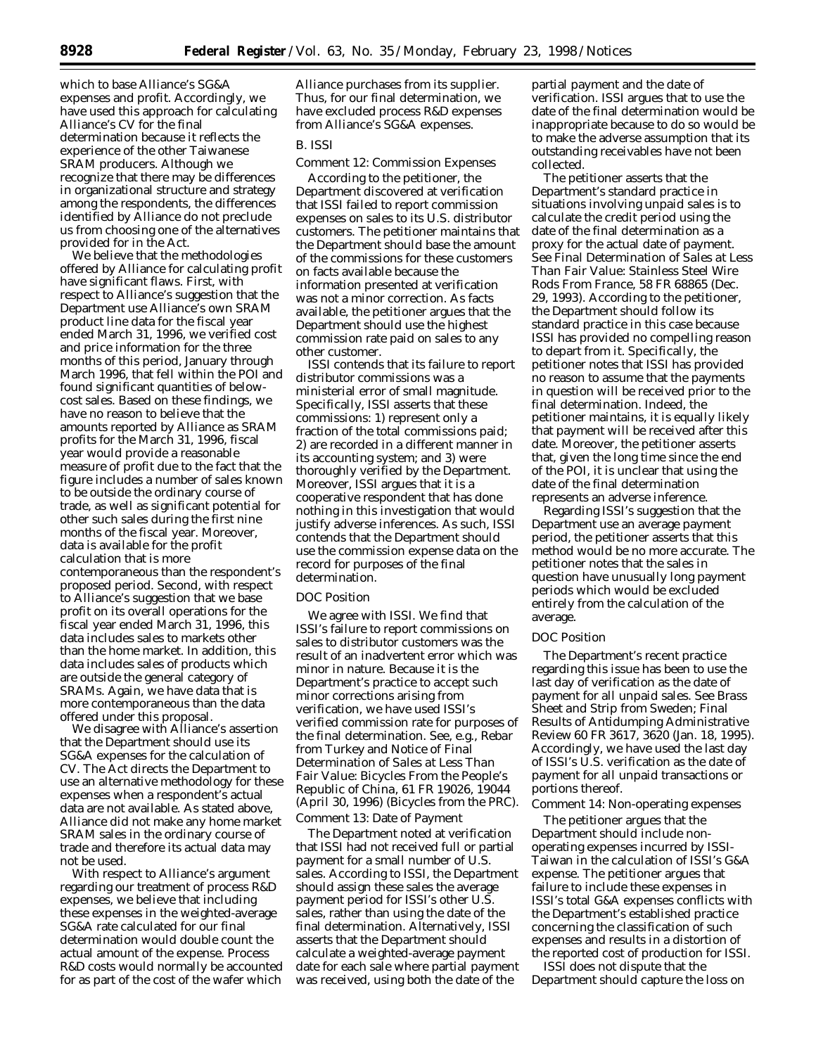which to base Alliance's SG&A expenses and profit. Accordingly, we have used this approach for calculating Alliance's CV for the final determination because it reflects the experience of the other Taiwanese SRAM producers. Although we recognize that there may be differences in organizational structure and strategy among the respondents, the differences identified by Alliance do not preclude us from choosing one of the alternatives provided for in the Act.

We believe that the methodologies offered by Alliance for calculating profit have significant flaws. First, with respect to Alliance's suggestion that the Department use Alliance's own SRAM product line data for the fiscal year ended March 31, 1996, we verified cost and price information for the three months of this period, January through March 1996, that fell within the POI and found significant quantities of belowcost sales. Based on these findings, we have no reason to believe that the amounts reported by Alliance as SRAM profits for the March 31, 1996, fiscal year would provide a reasonable measure of profit due to the fact that the figure includes a number of sales known to be outside the ordinary course of trade, as well as significant potential for other such sales during the first nine months of the fiscal year. Moreover, data is available for the profit calculation that is more contemporaneous than the respondent's proposed period. Second, with respect to Alliance's suggestion that we base profit on its overall operations for the fiscal year ended March 31, 1996, this data includes sales to markets other than the home market. In addition, this data includes sales of products which are outside the general category of SRAMs. Again, we have data that is more contemporaneous than the data offered under this proposal.

We disagree with Alliance's assertion that the Department should use its SG&A expenses for the calculation of CV. The Act directs the Department to use an alternative methodology for these expenses when a respondent's actual data are not available. As stated above, Alliance did not make any home market SRAM sales in the ordinary course of trade and therefore its actual data may not be used.

With respect to Alliance's argument regarding our treatment of process R&D expenses, we believe that including these expenses in the weighted-average SG&A rate calculated for our final determination would double count the actual amount of the expense. Process R&D costs would normally be accounted for as part of the cost of the wafer which

Alliance purchases from its supplier. Thus, for our final determination, we have excluded process R&D expenses from Alliance's SG&A expenses.

## B. ISSI

*Comment 12:* Commission Expenses

According to the petitioner, the Department discovered at verification that ISSI failed to report commission expenses on sales to its U.S. distributor customers. The petitioner maintains that the Department should base the amount of the commissions for these customers on facts available because the information presented at verification was not a minor correction. As facts available, the petitioner argues that the Department should use the highest commission rate paid on sales to any other customer.

ISSI contends that its failure to report distributor commissions was a ministerial error of small magnitude. Specifically, ISSI asserts that these commissions: 1) represent only a fraction of the total commissions paid; 2) are recorded in a different manner in its accounting system; and 3) were thoroughly verified by the Department. Moreover, ISSI argues that it is a cooperative respondent that has done nothing in this investigation that would justify adverse inferences. As such, ISSI contends that the Department should use the commission expense data on the record for purposes of the final determination.

#### *DOC Position*

We agree with ISSI. We find that ISSI's failure to report commissions on sales to distributor customers was the result of an inadvertent error which was minor in nature. Because it is the Department's practice to accept such minor corrections arising from verification, we have used ISSI's verified commission rate for purposes of the final determination. *See, e.g., Rebar from Turkey* and *Notice of Final Determination of Sales at Less Than Fair Value: Bicycles From the People's Republic of China,* 61 FR 19026, 19044 (April 30, 1996) *(Bicycles from the PRC)*. *Comment 13:* Date of Payment

The Department noted at verification that ISSI had not received full or partial payment for a small number of U.S. sales. According to ISSI, the Department should assign these sales the average payment period for ISSI's other U.S. sales, rather than using the date of the final determination. Alternatively, ISSI asserts that the Department should calculate a weighted-average payment date for each sale where partial payment was received, using both the date of the

partial payment and the date of verification. ISSI argues that to use the date of the final determination would be inappropriate because to do so would be to make the adverse assumption that its outstanding receivables have not been collected.

The petitioner asserts that the Department's standard practice in situations involving unpaid sales is to calculate the credit period using the date of the final determination as a proxy for the actual date of payment. *See Final Determination of Sales at Less Than Fair Value: Stainless Steel Wire Rods From France,* 58 FR 68865 (Dec. 29, 1993). According to the petitioner, the Department should follow its standard practice in this case because ISSI has provided no compelling reason to depart from it. Specifically, the petitioner notes that ISSI has provided no reason to assume that the payments in question will be received prior to the final determination. Indeed, the petitioner maintains, it is equally likely that payment will be received after this date. Moreover, the petitioner asserts that, given the long time since the end of the POI, it is unclear that using the date of the final determination represents an adverse inference.

Regarding ISSI's suggestion that the Department use an average payment period, the petitioner asserts that this method would be no more accurate. The petitioner notes that the sales in question have unusually long payment periods which would be excluded entirely from the calculation of the average.

# *DOC Position*

The Department's recent practice regarding this issue has been to use the last day of verification as the date of payment for all unpaid sales. *See Brass Sheet and Strip from Sweden; Final Results of Antidumping Administrative Review* 60 FR 3617, 3620 (Jan. 18, 1995). Accordingly, we have used the last day of ISSI's U.S. verification as the date of payment for all unpaid transactions or portions thereof.

# *Comment 14:* Non-operating expenses

The petitioner argues that the Department should include nonoperating expenses incurred by ISSI-Taiwan in the calculation of ISSI's G&A expense. The petitioner argues that failure to include these expenses in ISSI's total G&A expenses conflicts with the Department's established practice concerning the classification of such expenses and results in a distortion of the reported cost of production for ISSI.

ISSI does not dispute that the Department should capture the loss on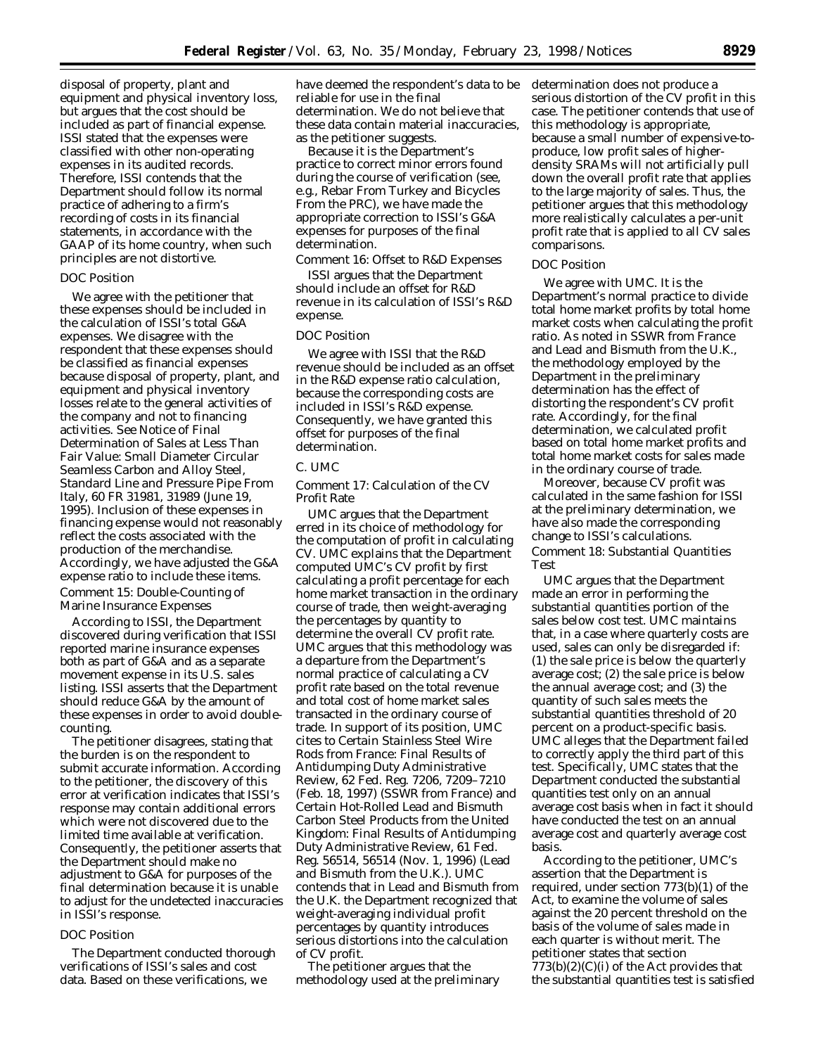disposal of property, plant and equipment and physical inventory loss, but argues that the cost should be included as part of financial expense. ISSI stated that the expenses were classified with other non-operating expenses in its audited records. Therefore, ISSI contends that the Department should follow its normal practice of adhering to a firm's recording of costs in its financial statements, in accordance with the GAAP of its home country, when such principles are not distortive.

### *DOC Position*

We agree with the petitioner that these expenses should be included in the calculation of ISSI's total G&A expenses. We disagree with the respondent that these expenses should be classified as financial expenses because disposal of property, plant, and equipment and physical inventory losses relate to the general activities of the company and not to financing activities. *See Notice of Final Determination of Sales at Less Than Fair Value: Small Diameter Circular Seamless Carbon and Alloy Steel, Standard Line and Pressure Pipe From Italy*, 60 FR 31981, 31989 (June 19, 1995). Inclusion of these expenses in financing expense would not reasonably reflect the costs associated with the production of the merchandise. Accordingly, we have adjusted the G&A expense ratio to include these items. *Comment 15:* Double-Counting of Marine Insurance Expenses

According to ISSI, the Department discovered during verification that ISSI reported marine insurance expenses both as part of G&A and as a separate movement expense in its U.S. sales listing. ISSI asserts that the Department should reduce G&A by the amount of these expenses in order to avoid doublecounting.

The petitioner disagrees, stating that the burden is on the respondent to submit accurate information. According to the petitioner, the discovery of this error at verification indicates that ISSI's response may contain additional errors which were not discovered due to the limited time available at verification. Consequently, the petitioner asserts that the Department should make no adjustment to G&A for purposes of the final determination because it is unable to adjust for the undetected inaccuracies in ISSI's response.

## *DOC Position*

The Department conducted thorough verifications of ISSI's sales and cost data. Based on these verifications, we

have deemed the respondent's data to be reliable for use in the final determination. We do not believe that these data contain material inaccuracies, as the petitioner suggests.

Because it is the Department's practice to correct minor errors found during the course of verification *(see, e.g., Rebar From Turkey* and *Bicycles From the PRC)*, we have made the appropriate correction to ISSI's G&A expenses for purposes of the final determination.

*Comment 16:* Offset to R&D Expenses

ISSI argues that the Department should include an offset for R&D revenue in its calculation of ISSI's R&D expense.

#### *DOC Position*

We agree with ISSI that the R&D revenue should be included as an offset in the R&D expense ratio calculation, because the corresponding costs are included in ISSI's R&D expense. Consequently, we have granted this offset for purposes of the final determination.

## C. UMC

*Comment 17:* Calculation of the CV Profit Rate

UMC argues that the Department erred in its choice of methodology for the computation of profit in calculating CV. UMC explains that the Department computed UMC's CV profit by first calculating a profit percentage for each home market transaction in the ordinary course of trade, then weight-averaging the percentages by quantity to determine the overall CV profit rate. UMC argues that this methodology was a departure from the Department's normal practice of calculating a CV profit rate based on the total revenue and total cost of home market sales transacted in the ordinary course of trade. In support of its position, UMC cites to *Certain Stainless Steel Wire Rods from France: Final Results of Antidumping Duty Administrative Review*, 62 Fed. Reg. 7206, 7209–7210 (Feb. 18, 1997) *(SSWR from France)* and *Certain Hot-Rolled Lead and Bismuth Carbon Steel Products from the United Kingdom: Final Results of Antidumping Duty Administrative Review*, 61 Fed. Reg. 56514, 56514 (Nov. 1, 1996) (Lead and Bismuth from the U.K.). UMC contends that in *Lead and Bismuth from the U.K.* the Department recognized that weight-averaging individual profit percentages by quantity introduces serious distortions into the calculation of CV profit.

The petitioner argues that the methodology used at the preliminary determination does not produce a serious distortion of the CV profit in this case. The petitioner contends that use of this methodology is appropriate, because a small number of expensive-toproduce, low profit sales of higherdensity SRAMs will not artificially pull down the overall profit rate that applies to the large majority of sales. Thus, the petitioner argues that this methodology more realistically calculates a per-unit profit rate that is applied to all CV sales comparisons.

## *DOC Position*

We agree with UMC. It is the Department's normal practice to divide total home market profits by total home market costs when calculating the profit ratio. As noted in *SSWR from France* and *Lead and Bismuth from the U.K.*, the methodology employed by the Department in the preliminary determination has the effect of distorting the respondent's CV profit rate. Accordingly, for the final determination, we calculated profit based on total home market profits and total home market costs for sales made in the ordinary course of trade.

Moreover, because CV profit was calculated in the same fashion for ISSI at the preliminary determination, we have also made the corresponding change to ISSI's calculations. *Comment 18:* Substantial Quantities Test

UMC argues that the Department made an error in performing the substantial quantities portion of the sales below cost test. UMC maintains that, in a case where quarterly costs are used, sales can only be disregarded if: (1) the sale price is below the quarterly average cost; (2) the sale price is below the annual average cost; and (3) the quantity of such sales meets the substantial quantities threshold of 20 percent on a product-specific basis. UMC alleges that the Department failed to correctly apply the third part of this test. Specifically, UMC states that the Department conducted the substantial quantities test only on an annual average cost basis when in fact it should have conducted the test on an annual average cost *and* quarterly average cost basis.

According to the petitioner, UMC's assertion that the Department is required, under section 773(b)(1) of the Act, to examine the volume of sales against the 20 percent threshold on the basis of the volume of sales made in each quarter is without merit. The petitioner states that section  $773(b)(2)(C)(i)$  of the Act provides that the substantial quantities test is satisfied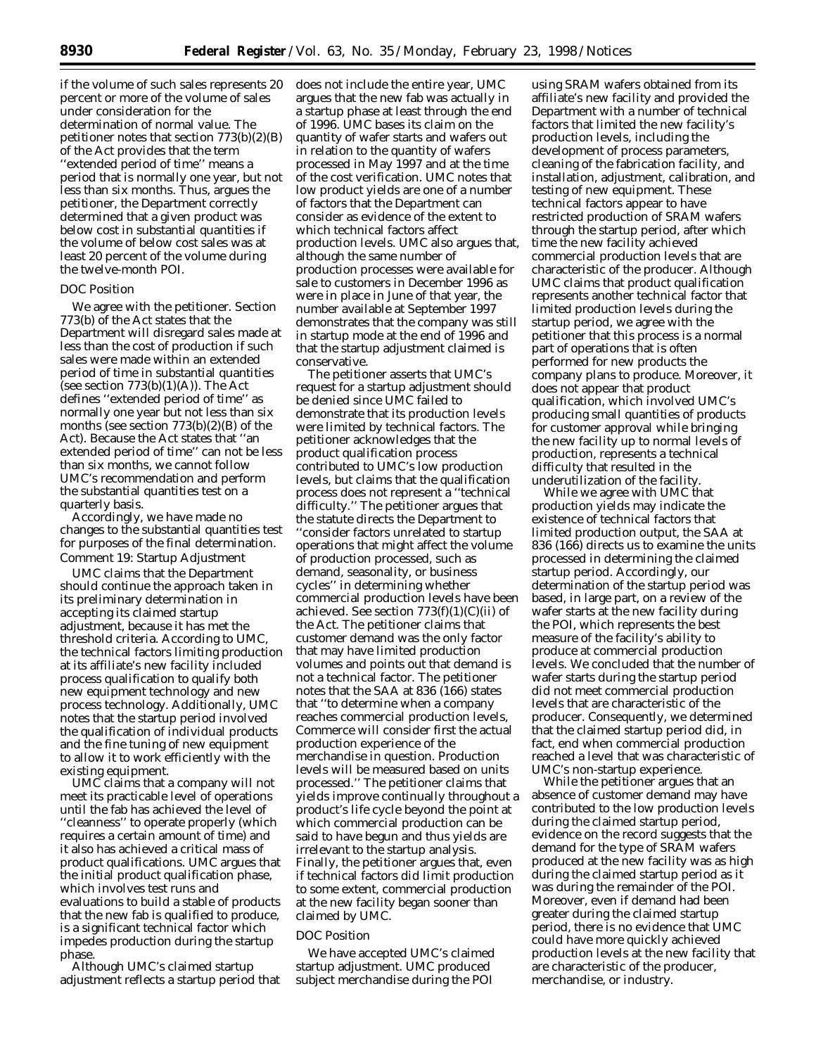if the volume of such sales represents 20 percent or more of the volume of sales under consideration for the determination of normal value. The petitioner notes that section 773(b)(2)(B) of the Act provides that the term ''extended period of time'' means a period that is normally one year, but not less than six months. Thus, argues the petitioner, the Department correctly determined that a given product was below cost in substantial quantities if the volume of below cost sales was at least 20 percent of the volume during the twelve-month POI.

## *DOC Position*

We agree with the petitioner. Section 773(b) of the Act states that the Department will disregard sales made at less than the cost of production if such sales were made within an extended period of time in substantial quantities (*see* section 773(b)(1)(A)). The Act defines ''extended period of time'' as normally one year but not less than six months (*see* section 773(b)(2)(B) of the Act). Because the Act states that ''an extended period of time'' can not be less than six months, we cannot follow UMC's recommendation and perform the substantial quantities test on a quarterly basis.

Accordingly, we have made no changes to the substantial quantities test for purposes of the final determination. *Comment 19:* Startup Adjustment

UMC claims that the Department should continue the approach taken in its preliminary determination in accepting its claimed startup adjustment, because it has met the threshold criteria. According to UMC, the technical factors limiting production at its affiliate's new facility included process qualification to qualify both new equipment technology and new process technology. Additionally, UMC notes that the startup period involved the qualification of individual products and the fine tuning of new equipment to allow it to work efficiently with the existing equipment.

UMC claims that a company will not meet its practicable level of operations until the fab has achieved the level of ''cleanness'' to operate properly (which requires a certain amount of time) and it also has achieved a critical mass of product qualifications. UMC argues that the initial product qualification phase, which involves test runs and evaluations to build a stable of products that the new fab is qualified to produce, is a significant technical factor which impedes production during the startup phase.

Although UMC's claimed startup adjustment reflects a startup period that does not include the entire year, UMC argues that the new fab was actually in a startup phase at least through the end of 1996. UMC bases its claim on the quantity of wafer starts and wafers out in relation to the quantity of wafers processed in May 1997 and at the time of the cost verification. UMC notes that low product yields are one of a number of factors that the Department can consider as evidence of the extent to which technical factors affect production levels. UMC also argues that, although the same number of production processes were available for sale to customers in December 1996 as were in place in June of that year, the number available at September 1997 demonstrates that the company was still in startup mode at the end of 1996 and that the startup adjustment claimed is conservative.

The petitioner asserts that UMC's request for a startup adjustment should be denied since UMC failed to demonstrate that its production levels were limited by technical factors. The petitioner acknowledges that the product qualification process contributed to UMC's low production levels, but claims that the qualification process does not represent a ''technical difficulty.'' The petitioner argues that the statute directs the Department to ''consider factors unrelated to startup operations that might affect the volume of production processed, such as demand, seasonality, or business cycles'' in determining whether commercial production levels have been achieved. *See* section 773(f)(1)(C)(ii) of the Act. The petitioner claims that customer demand was the only factor that may have limited production volumes and points out that demand is not a technical factor. The petitioner notes that the SAA at 836 (166) states that ''to determine when a company reaches commercial production levels, Commerce will consider first the actual production experience of the merchandise in question. Production levels will be measured based on units processed.'' The petitioner claims that yields improve continually throughout a product's life cycle beyond the point at which commercial production can be said to have begun and thus yields are irrelevant to the startup analysis. Finally, the petitioner argues that, even if technical factors did limit production to some extent, commercial production at the new facility began sooner than claimed by UMC.

## *DOC Position*

We have accepted UMC's claimed startup adjustment. UMC produced subject merchandise during the POI

using SRAM wafers obtained from its affiliate's new facility and provided the Department with a number of technical factors that limited the new facility's production levels, including the development of process parameters, cleaning of the fabrication facility, and installation, adjustment, calibration, and testing of new equipment. These technical factors appear to have restricted production of SRAM wafers through the startup period, after which time the new facility achieved commercial production levels that are characteristic of the producer. Although UMC claims that product qualification represents another technical factor that limited production levels during the startup period, we agree with the petitioner that this process is a normal part of operations that is often performed for new products the company plans to produce. Moreover, it does not appear that product qualification, which involved UMC's producing small quantities of products for customer approval while bringing the new facility up to normal levels of production, represents a technical difficulty that resulted in the underutilization of the facility.

While we agree with UMC that production yields may indicate the existence of technical factors that limited production output, the SAA at 836 (166) directs us to examine the units processed in determining the claimed startup period. Accordingly, our determination of the startup period was based, in large part, on a review of the wafer starts at the new facility during the POI, which represents the best measure of the facility's ability to produce at commercial production levels. We concluded that the number of wafer starts during the startup period did not meet commercial production levels that are characteristic of the producer. Consequently, we determined that the claimed startup period did, in fact, end when commercial production reached a level that was characteristic of UMC's non-startup experience.

While the petitioner argues that an absence of customer demand may have contributed to the low production levels during the claimed startup period, evidence on the record suggests that the demand for the type of SRAM wafers produced at the new facility was as high during the claimed startup period as it was during the remainder of the POI. Moreover, even if demand had been greater during the claimed startup period, there is no evidence that UMC could have more quickly achieved production levels at the new facility that are characteristic of the producer, merchandise, or industry.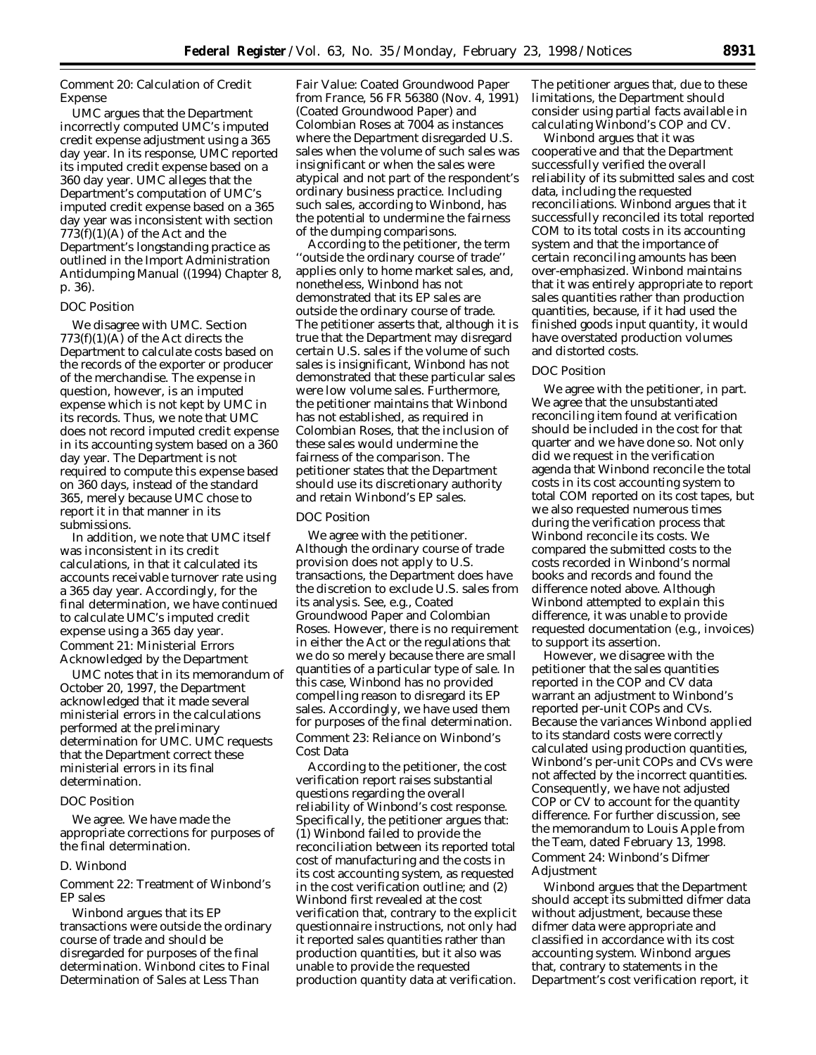# *Comment 20:* Calculation of Credit Expense

UMC argues that the Department incorrectly computed UMC's imputed credit expense adjustment using a 365 day year. In its response, UMC reported its imputed credit expense based on a 360 day year. UMC alleges that the Department's computation of UMC's imputed credit expense based on a 365 day year was inconsistent with section  $773(f)(1)(A)$  of the Act and the Department's longstanding practice as outlined in the *Import Administration Antidumping Manual* ((1994) Chapter 8, p. 36).

## *DOC Position*

We disagree with UMC. Section  $773(f)(1)(A)$  of the Act directs the Department to calculate costs based on the records of the exporter or producer of the merchandise. The expense in question, however, is an imputed expense which is not kept by UMC in its records. Thus, we note that UMC does not record imputed credit expense in its accounting system based on a 360 day year. The Department is not required to compute this expense based on 360 days, instead of the standard 365, merely because UMC chose to report it in that manner in its submissions.

In addition, we note that UMC itself was inconsistent in its credit calculations, in that it calculated its accounts receivable turnover rate using a 365 day year. Accordingly, for the final determination, we have continued to calculate UMC's imputed credit expense using a 365 day year. *Comment 21:* Ministerial Errors Acknowledged by the Department

UMC notes that in its memorandum of October 20, 1997, the Department acknowledged that it made several ministerial errors in the calculations performed at the preliminary determination for UMC. UMC requests that the Department correct these ministerial errors in its final determination.

### *DOC Position*

We agree. We have made the appropriate corrections for purposes of the final determination.

### D. Winbond

*Comment 22:* Treatment of Winbond's EP sales

Winbond argues that its EP transactions were outside the ordinary course of trade and should be disregarded for purposes of the final determination. Winbond cites to *Final Determination of Sales at Less Than*

*Fair Value: Coated Groundwood Paper from France*, 56 FR 56380 (Nov. 4, 1991) (*Coated Groundwood Paper*) and *Colombian Roses* at 7004 as instances where the Department disregarded U.S. sales when the volume of such sales was insignificant or when the sales were atypical and not part of the respondent's ordinary business practice. Including such sales, according to Winbond, has the potential to undermine the fairness of the dumping comparisons.

According to the petitioner, the term ''outside the ordinary course of trade'' applies only to home market sales, and, nonetheless, Winbond has not demonstrated that its EP sales are outside the ordinary course of trade. The petitioner asserts that, although it is true that the Department may disregard certain U.S. sales if the volume of such sales is insignificant, Winbond has not demonstrated that these particular sales were low volume sales. Furthermore, the petitioner maintains that Winbond has not established, as required in *Colombian Roses*, that the inclusion of these sales would undermine the fairness of the comparison. The petitioner states that the Department should use its discretionary authority and retain Winbond's EP sales.

### *DOC Position*

We agree with the petitioner. Although the ordinary course of trade provision does not apply to U.S. transactions, the Department does have the discretion to exclude U.S. sales from its analysis. *See, e.g., Coated Groundwood Paper* and *Colombian Roses*. However, there is no requirement in either the Act or the regulations that we do so merely because there are small quantities of a particular type of sale. In this case, Winbond has no provided compelling reason to disregard its EP sales. Accordingly, we have used them for purposes of the final determination. *Comment 23:* Reliance on Winbond's Cost Data

According to the petitioner, the cost verification report raises substantial questions regarding the overall reliability of Winbond's cost response. Specifically, the petitioner argues that: (1) Winbond failed to provide the reconciliation between its reported total cost of manufacturing and the costs in its cost accounting system, as requested in the cost verification outline; and (2) Winbond first revealed at the cost verification that, contrary to the explicit questionnaire instructions, not only had it reported sales quantities rather than production quantities, but it also was unable to provide the requested production quantity data at verification.

The petitioner argues that, due to these limitations, the Department should consider using partial facts available in calculating Winbond's COP and CV.

Winbond argues that it was cooperative and that the Department successfully verified the overall reliability of its submitted sales and cost data, including the requested reconciliations. Winbond argues that it successfully reconciled its total reported COM to its total costs in its accounting system and that the importance of certain reconciling amounts has been over-emphasized. Winbond maintains that it was entirely appropriate to report sales quantities rather than production quantities, because, if it had used the finished goods input quantity, it would have overstated production volumes and distorted costs.

## *DOC Position*

We agree with the petitioner, in part. We agree that the unsubstantiated reconciling item found at verification should be included in the cost for that quarter and we have done so. Not only did we request in the verification agenda that Winbond reconcile the total costs in its cost accounting system to total COM reported on its cost tapes, but we also requested numerous times during the verification process that Winbond reconcile its costs. We compared the submitted costs to the costs recorded in Winbond's normal books and records and found the difference noted above. Although Winbond attempted to explain this difference, it was unable to provide requested documentation (*e.g.*, invoices) to support its assertion.

However, we disagree with the petitioner that the sales quantities reported in the COP and CV data warrant an adjustment to Winbond's reported per-unit COPs and CVs. Because the variances Winbond applied to its standard costs were correctly calculated using production quantities, Winbond's per-unit COPs and CVs were not affected by the incorrect quantities. Consequently, we have not adjusted COP or CV to account for the quantity difference. For further discussion, see the memorandum to Louis Apple from the Team, dated February 13, 1998. *Comment 24:* Winbond's Difmer Adjustment

Winbond argues that the Department should accept its submitted difmer data without adjustment, because these difmer data were appropriate and classified in accordance with its cost accounting system. Winbond argues that, contrary to statements in the Department's cost verification report, it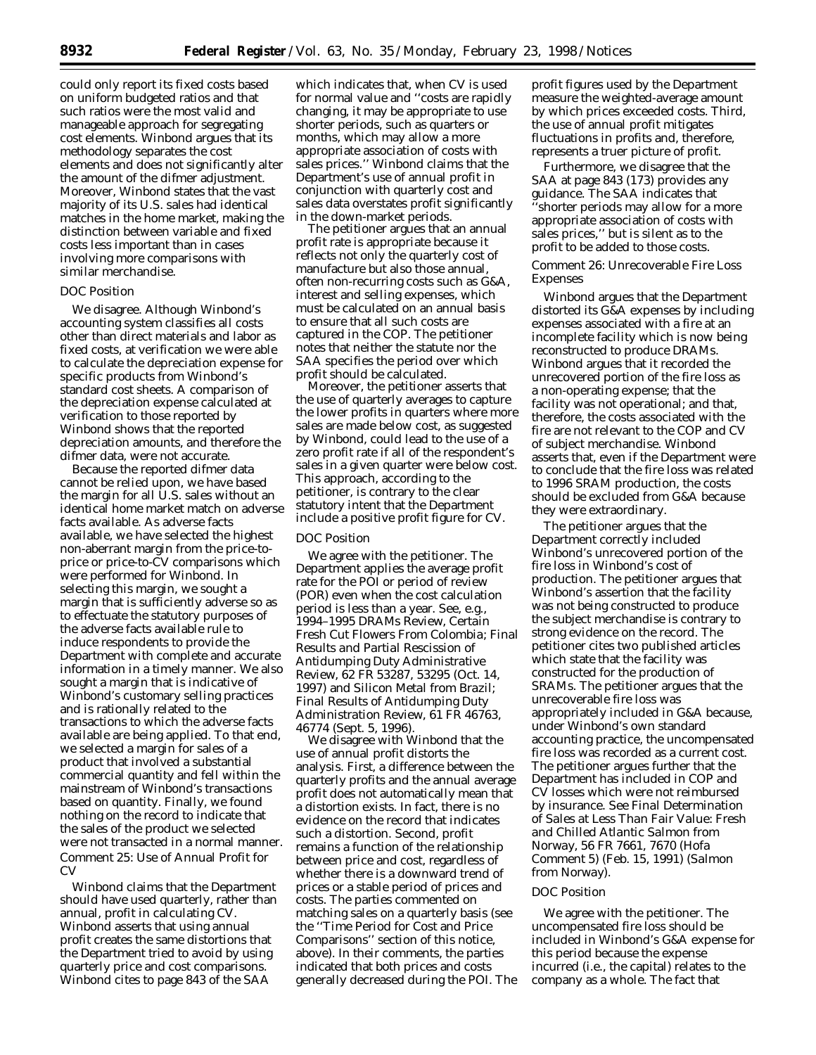could only report its fixed costs based on uniform budgeted ratios and that such ratios were the most valid and manageable approach for segregating cost elements. Winbond argues that its methodology separates the cost elements and does not significantly alter the amount of the difmer adjustment. Moreover, Winbond states that the vast majority of its U.S. sales had identical matches in the home market, making the distinction between variable and fixed costs less important than in cases involving more comparisons with similar merchandise.

## *DOC Position*

We disagree. Although Winbond's accounting system classifies all costs other than direct materials and labor as fixed costs, at verification we were able to calculate the depreciation expense for specific products from Winbond's standard cost sheets. A comparison of the depreciation expense calculated at verification to those reported by Winbond shows that the reported depreciation amounts, and therefore the difmer data, were not accurate.

Because the reported difmer data cannot be relied upon, we have based the margin for all U.S. sales without an identical home market match on adverse facts available. As adverse facts available, we have selected the highest non-aberrant margin from the price-toprice or price-to-CV comparisons which were performed for Winbond. In selecting this margin, we sought a margin that is sufficiently adverse so as to effectuate the statutory purposes of the adverse facts available rule to induce respondents to provide the Department with complete and accurate information in a timely manner. We also sought a margin that is indicative of Winbond's customary selling practices and is rationally related to the transactions to which the adverse facts available are being applied. To that end, we selected a margin for sales of a product that involved a substantial commercial quantity and fell within the mainstream of Winbond's transactions based on quantity. Finally, we found nothing on the record to indicate that the sales of the product we selected were not transacted in a normal manner. *Comment 25:* Use of Annual Profit for CV

Winbond claims that the Department should have used quarterly, rather than annual, profit in calculating CV. Winbond asserts that using annual profit creates the same distortions that the Department tried to avoid by using quarterly price and cost comparisons. Winbond cites to page 843 of the SAA

which indicates that, when CV is used for normal value and ''costs are rapidly changing, it may be appropriate to use shorter periods, such as quarters or months, which may allow a more appropriate association of costs with sales prices.'' Winbond claims that the Department's use of annual profit in conjunction with quarterly cost and sales data overstates profit significantly in the down-market periods.

The petitioner argues that an annual profit rate is appropriate because it reflects not only the quarterly cost of manufacture but also those annual, often non-recurring costs such as G&A, interest and selling expenses, which must be calculated on an annual basis to ensure that all such costs are captured in the COP. The petitioner notes that neither the statute nor the SAA specifies the period over which profit should be calculated.

Moreover, the petitioner asserts that the use of quarterly averages to capture the lower profits in quarters where more sales are made below cost, as suggested by Winbond, could lead to the use of a zero profit rate if all of the respondent's sales in a given quarter were below cost. This approach, according to the petitioner, is contrary to the clear statutory intent that the Department include a positive profit figure for CV.

## *DOC Position*

We agree with the petitioner. The Department applies the average profit rate for the POI or period of review (POR) even when the cost calculation period is less than a year. *See, e.g., 1994–1995 DRAMs Review, Certain Fresh Cut Flowers From Colombia; Final Results and Partial Rescission of Antidumping Duty Administrative Review,* 62 FR 53287, 53295 (Oct. 14, 1997) and *Silicon Metal from Brazil; Final Results of Antidumping Duty Administration Review,* 61 FR 46763, 46774 (Sept. 5, 1996).

We disagree with Winbond that the use of annual profit distorts the analysis. First, a difference between the quarterly profits and the annual average profit does not automatically mean that a distortion exists. In fact, there is no evidence on the record that indicates such a distortion. Second, profit remains a function of the relationship between price and cost, regardless of whether there is a downward trend of prices or a stable period of prices and costs. The parties commented on matching sales on a quarterly basis (*see* the ''Time Period for Cost and Price Comparisons'' section of this notice, above). In their comments, the parties indicated that both prices and costs generally decreased during the POI. The

profit figures used by the Department measure the weighted-average amount by which prices exceeded costs. Third, the use of annual profit mitigates fluctuations in profits and, therefore, represents a truer picture of profit.

Furthermore, we disagree that the SAA at page 843 (173) provides any guidance. The SAA indicates that ''shorter periods may allow for a more appropriate association of *costs* with sales prices,'' but is silent as to the profit to be added to those costs.

*Comment 26:* Unrecoverable Fire Loss Expenses

Winbond argues that the Department distorted its G&A expenses by including expenses associated with a fire at an incomplete facility which is now being reconstructed to produce DRAMs. Winbond argues that it recorded the unrecovered portion of the fire loss as a non-operating expense; that the facility was not operational; and that, therefore, the costs associated with the fire are not relevant to the COP and CV of subject merchandise. Winbond asserts that, even if the Department were to conclude that the fire loss was related to 1996 SRAM production, the costs should be excluded from G&A because they were extraordinary.

The petitioner argues that the Department correctly included Winbond's unrecovered portion of the fire loss in Winbond's cost of production. The petitioner argues that Winbond's assertion that the facility was not being constructed to produce the subject merchandise is contrary to strong evidence on the record. The petitioner cites two published articles which state that the facility was constructed for the production of SRAMs. The petitioner argues that the unrecoverable fire loss was appropriately included in G&A because, under Winbond's own standard accounting practice, the uncompensated fire loss was recorded as a current cost. The petitioner argues further that the Department has included in COP and CV losses which were not reimbursed by insurance. *See Final Determination of Sales at Less Than Fair Value: Fresh and Chilled Atlantic Salmon from Norway,* 56 FR 7661, 7670 (Hofa Comment 5) (Feb. 15, 1991) (*Salmon from Norway*).

# *DOC Position*

We agree with the petitioner. The uncompensated fire loss should be included in Winbond's G&A expense for this period because the expense incurred (*i.e.,* the capital) relates to the company as a whole. The fact that